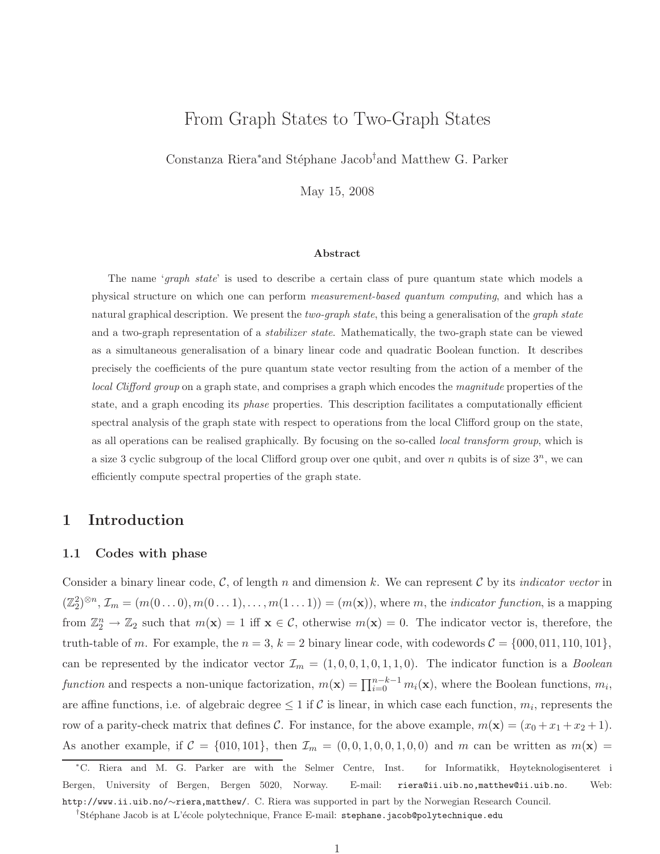# From Graph States to Two-Graph States

Constanza Riera<sup>∗</sup>and Stéphane Jacob<sup>†</sup>and Matthew G. Parker

May 15, 2008

#### Abstract

The name 'graph state' is used to describe a certain class of pure quantum state which models a physical structure on which one can perform measurement-based quantum computing, and which has a natural graphical description. We present the two-graph state, this being a generalisation of the graph state and a two-graph representation of a *stabilizer state*. Mathematically, the two-graph state can be viewed as a simultaneous generalisation of a binary linear code and quadratic Boolean function. It describes precisely the coefficients of the pure quantum state vector resulting from the action of a member of the local Clifford group on a graph state, and comprises a graph which encodes the magnitude properties of the state, and a graph encoding its *phase* properties. This description facilitates a computationally efficient spectral analysis of the graph state with respect to operations from the local Clifford group on the state, as all operations can be realised graphically. By focusing on the so-called local transform group, which is a size 3 cyclic subgroup of the local Clifford group over one qubit, and over n qubits is of size  $3^n$ , we can efficiently compute spectral properties of the graph state.

## 1 Introduction

### 1.1 Codes with phase

Consider a binary linear code,  $\mathcal{C}$ , of length n and dimension k. We can represent  $\mathcal{C}$  by its *indicator vector* in  $(\mathbb{Z}_2^2)^{\otimes n}, \mathcal{I}_m = (m(0...0), m(0...1), \ldots, m(1...1)) = (m(\mathbf{x})),$  where m, the *indicator function*, is a mapping from  $\mathbb{Z}_2^n \to \mathbb{Z}_2$  such that  $m(\mathbf{x}) = 1$  iff  $\mathbf{x} \in \mathcal{C}$ , otherwise  $m(\mathbf{x}) = 0$ . The indicator vector is, therefore, the truth-table of m. For example, the  $n = 3$ ,  $k = 2$  binary linear code, with codewords  $C = \{000, 011, 110, 101\}$ , can be represented by the indicator vector  $\mathcal{I}_m = (1, 0, 0, 1, 0, 1, 1, 0)$ . The indicator function is a *Boolean* function and respects a non-unique factorization,  $m(\mathbf{x}) = \prod_{i=0}^{n-k-1} m_i(\mathbf{x})$ , where the Boolean functions,  $m_i$ , are affine functions, i.e. of algebraic degree  $\leq 1$  if C is linear, in which case each function,  $m_i$ , represents the row of a parity-check matrix that defines C. For instance, for the above example,  $m(\mathbf{x}) = (x_0 + x_1 + x_2 + 1)$ . As another example, if  $C = \{010, 101\}$ , then  $\mathcal{I}_m = (0, 0, 1, 0, 0, 1, 0, 0)$  and m can be written as  $m(\mathbf{x}) =$ 

<sup>∗</sup>C. Riera and M. G. Parker are with the Selmer Centre, Inst. for Informatikk, Høyteknologisenteret i Bergen, University of Bergen, Bergen 5020, Norway. E-mail: riera@ii.uib.no,matthew@ii.uib.no. Web: http://www.ii.uib.no/∼riera,matthew/. C. Riera was supported in part by the Norwegian Research Council.

<sup>&</sup>lt;sup>†</sup>Stéphane Jacob is at L'école polytechnique, France E-mail: stephane.jacob@polytechnique.edu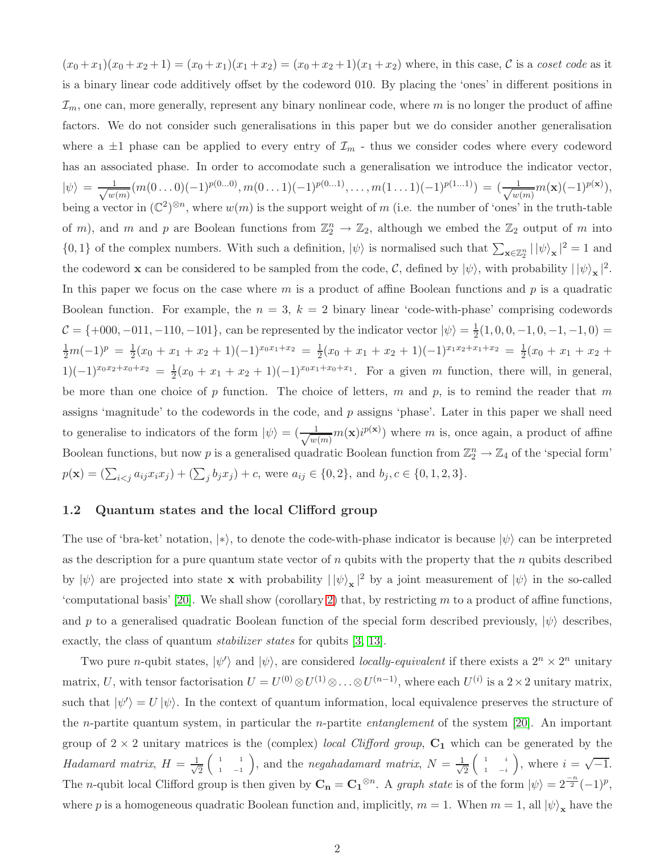$(x_0 + x_1)(x_0 + x_2 + 1) = (x_0 + x_1)(x_1 + x_2) = (x_0 + x_2 + 1)(x_1 + x_2)$  where, in this case, C is a coset code as it is a binary linear code additively offset by the codeword 010. By placing the 'ones' in different positions in  $\mathcal{I}_m$ , one can, more generally, represent any binary nonlinear code, where m is no longer the product of affine factors. We do not consider such generalisations in this paper but we do consider another generalisation where a  $\pm 1$  phase can be applied to every entry of  $\mathcal{I}_m$  - thus we consider codes where every codeword has an associated phase. In order to accomodate such a generalisation we introduce the indicator vector,  $|\psi\rangle = \frac{1}{\sqrt{w}}$  $\frac{1}{w(m)}(m(0 \ldots 0)(-1)^{p(0 \ldots 0)},m(0 \ldots 1)(-1)^{p(0 \ldots 1)},\ldots,m(1 \ldots 1)(-1)^{p(1 \ldots 1)}) = (\frac{1}{\sqrt{w(m)}})$  $\frac{1}{w(m)}m(\mathbf{x})(-1)^{p(\mathbf{x})}),$ being a vector in  $(\mathbb{C}^2)^{\otimes n}$ , where  $w(m)$  is the support weight of m (i.e. the number of 'ones' in the truth-table of m), and m and p are Boolean functions from  $\mathbb{Z}_2^n \to \mathbb{Z}_2$ , although we embed the  $\mathbb{Z}_2$  output of m into  $\{0,1\}$  of the complex numbers. With such a definition,  $|\psi\rangle$  is normalised such that  $\sum_{\mathbf{x}\in\mathbb{Z}_2^n}(|\psi\rangle_{\mathbf{x}}|^2=1$  and the codeword **x** can be considered to be sampled from the code, C, defined by  $|\psi\rangle$ , with probability  $| |\psi\rangle_{\mathbf{x}} |^2$ . In this paper we focus on the case where  $m$  is a product of affine Boolean functions and  $p$  is a quadratic Boolean function. For example, the  $n = 3$ ,  $k = 2$  binary linear 'code-with-phase' comprising codewords  $C = \{+000, -011, -110, -101\}$ , can be represented by the indicator vector  $|\psi\rangle = \frac{1}{2}$  $\frac{1}{2}(1,0,0,-1,0,-1,-1,0) =$  $\frac{1}{2}m(-1)^p = \frac{1}{2}$  $\frac{1}{2}(x_0+x_1+x_2+1)(-1)^{x_0x_1+x_2} = \frac{1}{2}$  $\frac{1}{2}(x_0+x_1+x_2+1)(-1)^{x_1x_2+x_1+x_2} = \frac{1}{2}$  $\frac{1}{2}(x_0+x_1+x_2+x_3)$  $1)(-1)^{x_0x_2+x_0+x_2} = \frac{1}{2}$  $\frac{1}{2}(x_0 + x_1 + x_2 + 1)(-1)^{x_0x_1+x_0+x_1}$ . For a given m function, there will, in general, be more than one choice of p function. The choice of letters, m and p, is to remind the reader that m assigns 'magnitude' to the codewords in the code, and p assigns 'phase'. Later in this paper we shall need to generalise to indicators of the form  $|\psi\rangle = \left(\frac{1}{\sqrt{w}}\right)$  $\frac{1}{w(m)}m(\mathbf{x})i^{p(\mathbf{x})})$  where m is, once again, a product of affine Boolean functions, but now p is a generalised quadratic Boolean function from  $\mathbb{Z}_2^n \to \mathbb{Z}_4$  of the 'special form'  $p(\mathbf{x}) = (\sum_{i < j} a_{ij} x_i x_j) + (\sum_j b_j x_j) + c$ , were  $a_{ij} \in \{0, 2\}$ , and  $b_j, c \in \{0, 1, 2, 3\}$ .

### 1.2 Quantum states and the local Clifford group

The use of 'bra-ket' notation, |\*), to denote the code-with-phase indicator is because  $|\psi\rangle$  can be interpreted as the description for a pure quantum state vector of  $n$  qubits with the property that the  $n$  qubits described by  $|\psi\rangle$  are projected into state **x** with probability  $| |\psi\rangle_{\mathbf{x}} |^2$  by a joint measurement of  $|\psi\rangle$  in the so-called 'computational basis' [\[20\]](#page-28-0). We shall show (corollary [2\)](#page-17-0) that, by restricting  $m$  to a product of affine functions, and p to a generalised quadratic Boolean function of the special form described previously,  $|\psi\rangle$  describes, exactly, the class of quantum *stabilizer states* for qubits [\[3,](#page-26-0) [13\]](#page-27-0).

Two pure *n*-qubit states,  $|\psi'\rangle$  and  $|\psi\rangle$ , are considered *locally-equivalent* if there exists a  $2^n \times 2^n$  unitary matrix, U, with tensor factorisation  $U = U^{(0)} \otimes U^{(1)} \otimes \ldots \otimes U^{(n-1)}$ , where each  $U^{(i)}$  is a  $2 \times 2$  unitary matrix, such that  $|\psi'\rangle = U |\psi\rangle$ . In the context of quantum information, local equivalence preserves the structure of the n-partite quantum system, in particular the n-partite entanglement of the system [\[20\]](#page-28-0). An important group of  $2 \times 2$  unitary matrices is the (complex) local Clifford group,  $C_1$  which can be generated by the Hadamard matrix,  $H = \frac{1}{\sqrt{2}}$ 2  $\begin{pmatrix} 1 & 1 \end{pmatrix}$  $\begin{pmatrix} 1 & 1 \\ 1 & -1 \end{pmatrix}$ , and the *negahadamard matrix*,  $N = \frac{1}{\sqrt{2}}$ 2  $\begin{pmatrix} 1 & i \end{pmatrix}$  $\begin{pmatrix} 1 & i \\ 1 & -i \end{pmatrix}$ , where  $i = \sqrt{-1}$ . The *n*-qubit local Clifford group is then given by  $C_n = C_1^{\otimes n}$ . A graph state is of the form  $|\psi\rangle = 2^{\frac{-n}{2}}(-1)^p$ , where p is a homogeneous quadratic Boolean function and, implicitly,  $m = 1$ . When  $m = 1$ , all  $|\psi\rangle_{\mathbf{x}}$  have the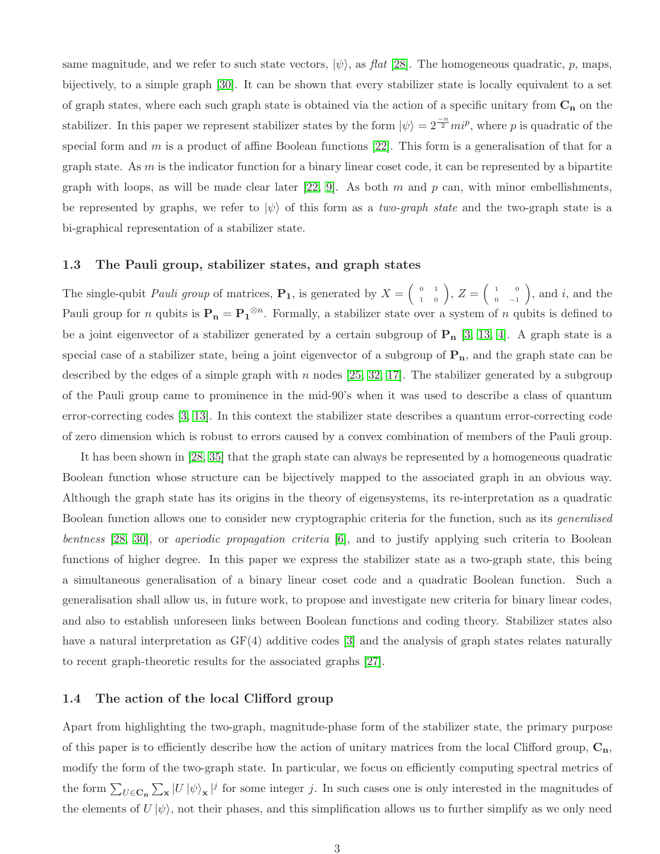same magnitude, and we refer to such state vectors,  $|\psi\rangle$ , as flat [\[28\]](#page-28-1). The homogeneous quadratic, p, maps, bijectively, to a simple graph [\[30\]](#page-28-2). It can be shown that every stabilizer state is locally equivalent to a set of graph states, where each such graph state is obtained via the action of a specific unitary from  $C_n$  on the stabilizer. In this paper we represent stabilizer states by the form  $|\psi\rangle = 2^{\frac{-n}{2}} m i^p$ , where p is quadratic of the special form and m is a product of affine Boolean functions  $[22]$ . This form is a generalisation of that for a graph state. As  $m$  is the indicator function for a binary linear coset code, it can be represented by a bipartite graph with loops, as will be made clear later [\[22,](#page-28-3) [9\]](#page-27-1). As both m and p can, with minor embellishments, be represented by graphs, we refer to  $|\psi\rangle$  of this form as a two-graph state and the two-graph state is a bi-graphical representation of a stabilizer state.

### 1.3 The Pauli group, stabilizer states, and graph states

The single-qubit *Pauli group* of matrices,  $\mathbf{P}_1$ , is generated by  $X = \begin{pmatrix} 0 & 1 \\ 1 & 0 \end{pmatrix}$ ,  $Z = \begin{pmatrix} 1 & 0 \\ 0 & -1 \end{pmatrix}$  $\begin{pmatrix} 1 & 0 \\ 0 & -1 \end{pmatrix}$ , and the Pauli group for *n* qubits is  $\mathbf{P_n} = \mathbf{P_1}^{\otimes n}$ . Formally, a stabilizer state over a system of *n* qubits is defined to be a joint eigenvector of a stabilizer generated by a certain subgroup of  $P_n$  [\[3,](#page-26-0) [13,](#page-27-0) [4\]](#page-26-1). A graph state is a special case of a stabilizer state, being a joint eigenvector of a subgroup of  $P_n$ , and the graph state can be described by the edges of a simple graph with n nodes [\[25,](#page-28-4) [32,](#page-29-0) [17\]](#page-27-2). The stabilizer generated by a subgroup of the Pauli group came to prominence in the mid-90's when it was used to describe a class of quantum error-correcting codes [\[3,](#page-26-0) [13\]](#page-27-0). In this context the stabilizer state describes a quantum error-correcting code of zero dimension which is robust to errors caused by a convex combination of members of the Pauli group.

It has been shown in [\[28,](#page-28-1) [35\]](#page-29-1) that the graph state can always be represented by a homogeneous quadratic Boolean function whose structure can be bijectively mapped to the associated graph in an obvious way. Although the graph state has its origins in the theory of eigensystems, its re-interpretation as a quadratic Boolean function allows one to consider new cryptographic criteria for the function, such as its generalised bentness [\[28,](#page-28-1) [30\]](#page-28-2), or aperiodic propagation criteria [\[6\]](#page-27-3), and to justify applying such criteria to Boolean functions of higher degree. In this paper we express the stabilizer state as a two-graph state, this being a simultaneous generalisation of a binary linear coset code and a quadratic Boolean function. Such a generalisation shall allow us, in future work, to propose and investigate new criteria for binary linear codes, and also to establish unforeseen links between Boolean functions and coding theory. Stabilizer states also have a natural interpretation as  $GF(4)$  additive codes [\[3\]](#page-26-0) and the analysis of graph states relates naturally to recent graph-theoretic results for the associated graphs [\[27\]](#page-28-5).

### 1.4 The action of the local Clifford group

Apart from highlighting the two-graph, magnitude-phase form of the stabilizer state, the primary purpose of this paper is to efficiently describe how the action of unitary matrices from the local Clifford group,  $C_n$ , modify the form of the two-graph state. In particular, we focus on efficiently computing spectral metrics of the form  $\sum_{U \in \mathbf{C_n}} \sum_{\mathbf{x}} |U | \psi \rangle_{\mathbf{x}} |^j$  for some integer j. In such cases one is only interested in the magnitudes of the elements of  $U |\psi\rangle$ , not their phases, and this simplification allows us to further simplify as we only need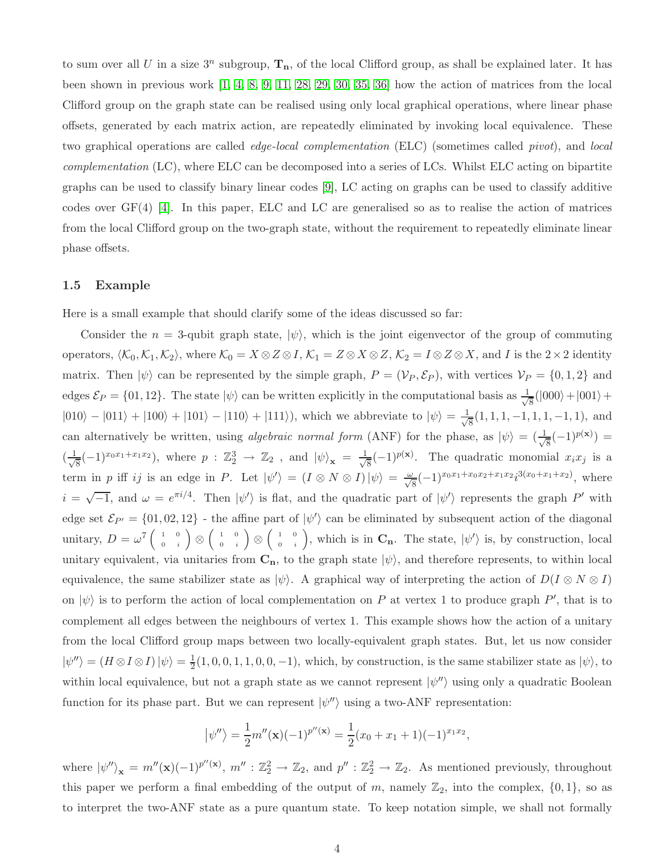to sum over all U in a size  $3^n$  subgroup,  $\mathbf{T}_n$ , of the local Clifford group, as shall be explained later. It has been shown in previous work [\[1,](#page-26-2) [4,](#page-26-1) [8,](#page-27-4) [9,](#page-27-1) [11,](#page-27-5) [28,](#page-28-1) [29,](#page-28-6) [30,](#page-28-2) [35,](#page-29-1) [36\]](#page-29-2) how the action of matrices from the local Clifford group on the graph state can be realised using only local graphical operations, where linear phase offsets, generated by each matrix action, are repeatedly eliminated by invoking local equivalence. These two graphical operations are called edge-local complementation (ELC) (sometimes called pivot), and local complementation (LC), where ELC can be decomposed into a series of LCs. Whilst ELC acting on bipartite graphs can be used to classify binary linear codes [\[9\]](#page-27-1), LC acting on graphs can be used to classify additive codes over  $GF(4)$  [\[4\]](#page-26-1). In this paper, ELC and LC are generalised so as to realise the action of matrices from the local Clifford group on the two-graph state, without the requirement to repeatedly eliminate linear phase offsets.

### 1.5 Example

Here is a small example that should clarify some of the ideas discussed so far:

Consider the  $n = 3$ -qubit graph state,  $|\psi\rangle$ , which is the joint eigenvector of the group of commuting operators,  $\langle \mathcal{K}_0, \mathcal{K}_1, \mathcal{K}_2 \rangle$ , where  $\mathcal{K}_0 = X \otimes Z \otimes I$ ,  $\mathcal{K}_1 = Z \otimes X \otimes Z$ ,  $\mathcal{K}_2 = I \otimes Z \otimes X$ , and I is the  $2 \times 2$  identity matrix. Then  $|\psi\rangle$  can be represented by the simple graph,  $P = (\mathcal{V}_P, \mathcal{E}_P)$ , with vertices  $\mathcal{V}_P = \{0, 1, 2\}$  and edges  $\mathcal{E}_P = \{01, 12\}$ . The state  $|\psi\rangle$  can be written explicitly in the computational basis as  $\frac{1}{\sqrt{2}}$  $\frac{1}{8}(|000\rangle+|001\rangle+$  $|010\rangle - |011\rangle + |100\rangle + |101\rangle - |110\rangle + |111\rangle),$  which we abbreviate to  $|\psi\rangle = \frac{1}{\sqrt{2}}$  $\frac{1}{8}(1, 1, 1, -1, 1, 1, -1, 1)$ , and can alternatively be written, using *algebraic normal form* (ANF) for the phase, as  $|\psi\rangle = (\frac{1}{\sqrt{\kappa}})^{1/2}$  $\frac{1}{8}(-1)^{p(x)}$  =  $\left(\frac{1}{\sqrt{2}}\right)$  $\frac{1}{8}(-1)^{x_0x_1+x_1x_2}$ , where  $p: \mathbb{Z}_2^3 \to \mathbb{Z}_2$ , and  $|\psi\rangle_{\mathbf{x}} = \frac{1}{\sqrt{2}}$  $\frac{1}{8}(-1)^{p(x)}$ . The quadratic monomial  $x_ix_j$  is a term in p iff ij is an edge in P. Let  $|\psi'\rangle = (I \otimes N \otimes I)|\psi\rangle = \frac{\omega}{\sqrt{8}}(-1)^{x_0x_1+x_0x_2+x_1x_2}i^{3(x_0+x_1+x_2)}$ , where  $i = \sqrt{-1}$ , and  $\omega = e^{\pi i/4}$ . Then  $|\psi'\rangle$  is flat, and the quadratic part of  $|\psi'\rangle$  represents the graph P' with edge set  $\mathcal{E}_{P'} = \{01, 02, 12\}$  - the affine part of  $|\psi'\rangle$  can be eliminated by subsequent action of the diagonal unitary,  $D = \omega^7 \begin{pmatrix} 1 & 0 \\ 0 & i \end{pmatrix}$  $\left(\begin{array}{cc} 1 & 0 \ 0 & i \end{array}\right) \,\otimes\, \left(\begin{array}{cc} 1 & 0 \ 0 & i \end{array}\right)$  $\left(\begin{array}{cc} 1 & 0 \ 0 & i \end{array}\right) \,\otimes\, \left(\begin{array}{cc} 1 & 0 \ 0 & i \end{array}\right)$  $\begin{pmatrix} 1 & 0 \\ 0 & i \end{pmatrix}$ , which is in  $\mathbf{C}_{\mathbf{n}}$ . The state,  $|\psi'\rangle$  is, by construction, local unitary equivalent, via unitaries from  $C_n$ , to the graph state  $|\psi\rangle$ , and therefore represents, to within local equivalence, the same stabilizer state as  $|\psi\rangle$ . A graphical way of interpreting the action of  $D(I \otimes N \otimes I)$ on  $|\psi\rangle$  is to perform the action of local complementation on P at vertex 1 to produce graph P', that is to complement all edges between the neighbours of vertex 1. This example shows how the action of a unitary from the local Clifford group maps between two locally-equivalent graph states. But, let us now consider  $|\psi''\rangle = (H \otimes I \otimes I)|\psi\rangle = \frac{1}{2}$  $\frac{1}{2}(1,0,0,1,1,0,0,-1)$ , which, by construction, is the same stabilizer state as  $|\psi\rangle$ , to within local equivalence, but not a graph state as we cannot represent  $|\psi''\rangle$  using only a quadratic Boolean function for its phase part. But we can represent  $|\psi''\rangle$  using a two-ANF representation:

$$
|\psi''\rangle = \frac{1}{2}m''(\mathbf{x})(-1)^{p''(\mathbf{x})} = \frac{1}{2}(x_0 + x_1 + 1)(-1)^{x_1x_2},
$$

where  $|\psi''\rangle_{\mathbf{x}} = m''(\mathbf{x})(-1)^{p''(\mathbf{x})}, m'' : \mathbb{Z}_2^2 \to \mathbb{Z}_2$ , and  $p'' : \mathbb{Z}_2^2 \to \mathbb{Z}_2$ . As mentioned previously, throughout this paper we perform a final embedding of the output of m, namely  $\mathbb{Z}_2$ , into the complex,  $\{0,1\}$ , so as to interpret the two-ANF state as a pure quantum state. To keep notation simple, we shall not formally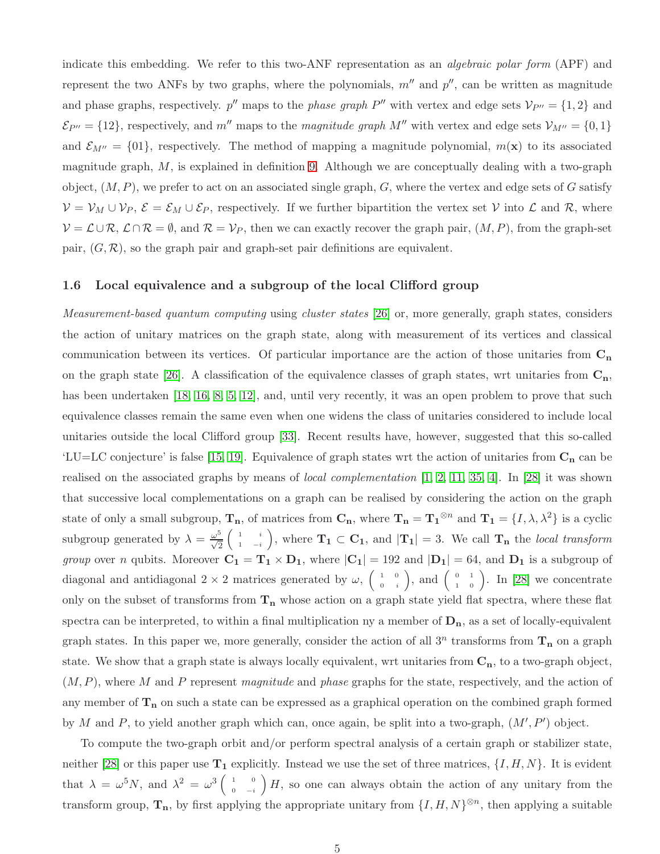indicate this embedding. We refer to this two-ANF representation as an *algebraic polar form* (APF) and represent the two ANFs by two graphs, where the polynomials,  $m''$  and  $p''$ , can be written as magnitude and phase graphs, respectively.  $p''$  maps to the *phase graph*  $P''$  with vertex and edge sets  $V_{P''} = \{1, 2\}$  and  $\mathcal{E}_{P''}$  = {12}, respectively, and m'' maps to the magnitude graph M'' with vertex and edge sets  $\mathcal{V}_{M''}$  = {0, 1} and  $\mathcal{E}_{M''} = \{01\}$ , respectively. The method of mapping a magnitude polynomial,  $m(\mathbf{x})$  to its associated magnitude graph,  $M$ , is explained in definition [9.](#page-9-0) Although we are conceptually dealing with a two-graph object,  $(M, P)$ , we prefer to act on an associated single graph, G, where the vertex and edge sets of G satisfy  $V = V_M \cup V_P$ ,  $\mathcal{E} = \mathcal{E}_M \cup \mathcal{E}_P$ , respectively. If we further bipartition the vertex set V into  $\mathcal{L}$  and  $\mathcal{R}$ , where  $V = \mathcal{L} \cup \mathcal{R}, \mathcal{L} \cap \mathcal{R} = \emptyset$ , and  $\mathcal{R} = \mathcal{V}_P$ , then we can exactly recover the graph pair,  $(M, P)$ , from the graph-set pair,  $(G, \mathcal{R})$ , so the graph pair and graph-set pair definitions are equivalent.

### 1.6 Local equivalence and a subgroup of the local Clifford group

Measurement-based quantum computing using cluster states [\[26\]](#page-28-7) or, more generally, graph states, considers the action of unitary matrices on the graph state, along with measurement of its vertices and classical communication between its vertices. Of particular importance are the action of those unitaries from  $C_n$ on the graph state [\[26\]](#page-28-7). A classification of the equivalence classes of graph states, wrt unitaries from  $C_n$ , has been undertaken [\[18,](#page-28-8) [16,](#page-27-6) [8,](#page-27-4) [5,](#page-26-3) [12\]](#page-27-7), and, until very recently, it was an open problem to prove that such equivalence classes remain the same even when one widens the class of unitaries considered to include local unitaries outside the local Clifford group [\[33\]](#page-29-3). Recent results have, however, suggested that this so-called 'LU=LC conjecture' is false [\[15,](#page-27-8) [19\]](#page-28-9). Equivalence of graph states wrt the action of unitaries from  $C_n$  can be realised on the associated graphs by means of *local complementation*  $[1, 2, 11, 35, 4]$  $[1, 2, 11, 35, 4]$  $[1, 2, 11, 35, 4]$  $[1, 2, 11, 35, 4]$  $[1, 2, 11, 35, 4]$ . In [\[28\]](#page-28-1) it was shown that successive local complementations on a graph can be realised by considering the action on the graph state of only a small subgroup,  $T_n$ , of matrices from  $C_n$ , where  $T_n = T_1^{\otimes n}$  and  $T_1 = \{I, \lambda, \lambda^2\}$  is a cyclic subgroup generated by  $\lambda = \frac{\omega^5}{\sqrt{2}}$  $\begin{pmatrix} 1 & i \end{pmatrix}$  $\begin{bmatrix} 1 & i \\ 1 & -i \end{bmatrix}$ , where  $\mathbf{T_1} \subset \mathbf{C_1}$ , and  $|\mathbf{T_1}| = 3$ . We call  $\mathbf{T_n}$  the local transform group over n qubits. Moreover  $C_1 = T_1 \times D_1$ , where  $|C_1| = 192$  and  $|D_1| = 64$ , and  $D_1$  is a subgroup of diagonal and antidiagonal  $2 \times 2$  matrices generated by  $\omega$ ,  $\begin{pmatrix} 1 & 0 \\ 0 & i \end{pmatrix}$  $\begin{pmatrix} 1 & 0 \\ 0 & i \end{pmatrix}$ , and  $\begin{pmatrix} 0 & 1 \\ 1 & 0 \end{pmatrix}$ . In [\[28\]](#page-28-1) we concentrate only on the subset of transforms from  $T_n$  whose action on a graph state yield flat spectra, where these flat spectra can be interpreted, to within a final multiplication ny a member of  $D_n$ , as a set of locally-equivalent graph states. In this paper we, more generally, consider the action of all  $3^n$  transforms from  $T_n$  on a graph state. We show that a graph state is always locally equivalent, wrt unitaries from  $C_n$ , to a two-graph object,  $(M, P)$ , where M and P represent magnitude and phase graphs for the state, respectively, and the action of any member of  $T_n$  on such a state can be expressed as a graphical operation on the combined graph formed by M and P, to yield another graph which can, once again, be split into a two-graph,  $(M', P')$  object.

To compute the two-graph orbit and/or perform spectral analysis of a certain graph or stabilizer state, neither [\[28\]](#page-28-1) or this paper use  $T_1$  explicitly. Instead we use the set of three matrices,  $\{I, H, N\}$ . It is evident that  $\lambda = \omega^5 N$ , and  $\lambda^2 = \omega^3 \begin{pmatrix} 1 & 0 \\ 0 & -i \end{pmatrix}$  $\begin{pmatrix} 1 & 0 \\ 0 & -i \end{pmatrix} H$ , so one can always obtain the action of any unitary from the transform group,  $\mathbf{T_n}$ , by first applying the appropriate unitary from  $\{I, H, N\}^{\otimes n}$ , then applying a suitable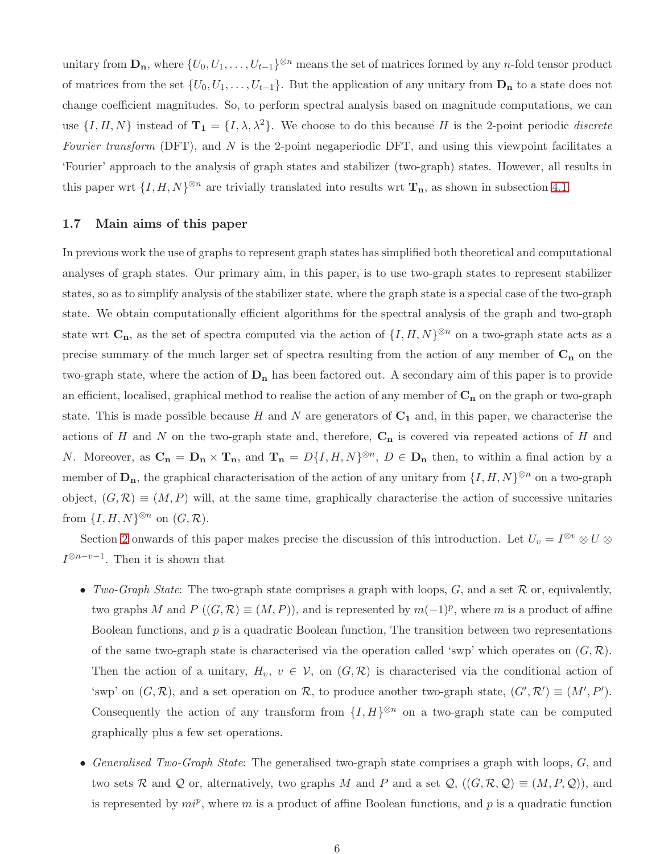unitary from  $\mathbf{D_n}$ , where  $\{U_0, U_1, \ldots, U_{t-1}\}^{\otimes n}$  means the set of matrices formed by any n-fold tensor product of matrices from the set  $\{U_0, U_1, \ldots, U_{t-1}\}$ . But the application of any unitary from  $\mathbf{D}_n$  to a state does not change coefficient magnitudes. So, to perform spectral analysis based on magnitude computations, we can use  $\{I, H, N\}$  instead of  $\mathbf{T_1} = \{I, \lambda, \lambda^2\}$ . We choose to do this because H is the 2-point periodic *discrete* Fourier transform  $(DFT)$ , and N is the 2-point negaperiodic DFT, and using this viewpoint facilitates a 'Fourier' approach to the analysis of graph states and stabilizer (two-graph) states. However, all results in this paper wrt  $\{I, H, N\}^{\otimes n}$  are trivially translated into results wrt  $\mathbf{T}_n$ , as shown in subsection [4.1.](#page-17-1)

### 1.7 Main aims of this paper

In previous work the use of graphs to represent graph states has simplified both theoretical and computational analyses of graph states. Our primary aim, in this paper, is to use two-graph states to represent stabilizer states, so as to simplify analysis of the stabilizer state, where the graph state is a special case of the two-graph state. We obtain computationally efficient algorithms for the spectral analysis of the graph and two-graph state wrt  $\mathbf{C}_{\mathbf{n}}$ , as the set of spectra computed via the action of  $\{I, H, N\}^{\otimes n}$  on a two-graph state acts as a precise summary of the much larger set of spectra resulting from the action of any member of  $C_n$  on the two-graph state, where the action of  $D_n$  has been factored out. A secondary aim of this paper is to provide an efficient, localised, graphical method to realise the action of any member of  $C_n$  on the graph or two-graph state. This is made possible because H and N are generators of  $C_1$  and, in this paper, we characterise the actions of H and N on the two-graph state and, therefore,  $C_n$  is covered via repeated actions of H and N. Moreover, as  $C_n = D_n \times T_n$ , and  $T_n = D\{I, H, N\}^{\otimes n}$ ,  $D \in D_n$  then, to within a final action by a member of  $\mathbf{D}_{\mathbf{n}}$ , the graphical characterisation of the action of any unitary from  $\{I, H, N\}^{\otimes n}$  on a two-graph object,  $(G, \mathcal{R}) \equiv (M, P)$  will, at the same time, graphically characterise the action of successive unitaries from  $\{I, H, N\}^{\otimes n}$  on  $(G, \mathcal{R})$ .

Section [2](#page-7-0) onwards of this paper makes precise the discussion of this introduction. Let  $U_v = I^{\otimes v} \otimes U \otimes$  $I^{\otimes n-v-1}$ . Then it is shown that

- Two-Graph State: The two-graph state comprises a graph with loops,  $G$ , and a set  $R$  or, equivalently, two graphs M and  $P((G,\mathcal{R}) \equiv (M,P))$ , and is represented by  $m(-1)^p$ , where m is a product of affine Boolean functions, and  $p$  is a quadratic Boolean function, The transition between two representations of the same two-graph state is characterised via the operation called 'swp' which operates on  $(G, \mathcal{R})$ . Then the action of a unitary,  $H_v$ ,  $v \in V$ , on  $(G, \mathcal{R})$  is characterised via the conditional action of 'swp' on  $(G, \mathcal{R})$ , and a set operation on  $\mathcal{R}$ , to produce another two-graph state,  $(G', \mathcal{R}') \equiv (M', P')$ . Consequently the action of any transform from  $\{I, H\}^{\otimes n}$  on a two-graph state can be computed graphically plus a few set operations.
- Generalised Two-Graph State: The generalised two-graph state comprises a graph with loops, G, and two sets R and Q or, alternatively, two graphs M and P and a set  $\mathcal{Q}, ((G, \mathcal{R}, \mathcal{Q}) \equiv (M, P, \mathcal{Q}))$ , and is represented by  $mi^p$ , where m is a product of affine Boolean functions, and p is a quadratic function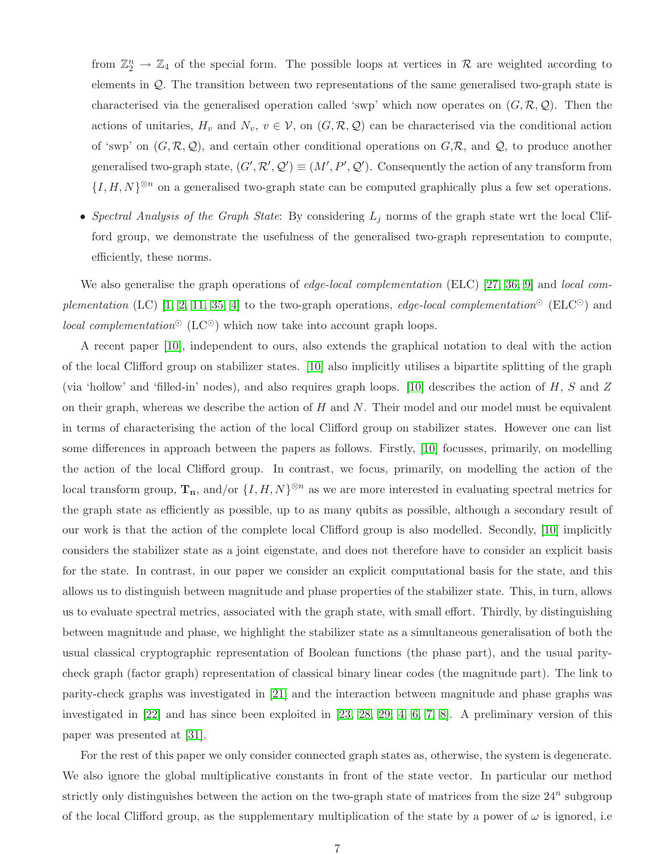from  $\mathbb{Z}_2^n \to \mathbb{Z}_4$  of the special form. The possible loops at vertices in R are weighted according to elements in Q. The transition between two representations of the same generalised two-graph state is characterised via the generalised operation called 'swp' which now operates on  $(G, \mathcal{R}, \mathcal{Q})$ . Then the actions of unitaries,  $H_v$  and  $N_v$ ,  $v \in V$ , on  $(G, \mathcal{R}, \mathcal{Q})$  can be characterised via the conditional action of 'swp' on  $(G, \mathcal{R}, \mathcal{Q})$ , and certain other conditional operations on  $G, \mathcal{R}$ , and  $\mathcal{Q}$ , to produce another generalised two-graph state,  $(G', \mathcal{R}', \mathcal{Q}') \equiv (M', P', \mathcal{Q}')$ . Consequently the action of any transform from  $\{I, H, N\}^{\otimes n}$  on a generalised two-graph state can be computed graphically plus a few set operations.

• Spectral Analysis of the Graph State: By considering  $L_j$  norms of the graph state wrt the local Clifford group, we demonstrate the usefulness of the generalised two-graph representation to compute, efficiently, these norms.

We also generalise the graph operations of edge-local complementation (ELC) [\[27,](#page-28-5) [36,](#page-29-2) [9\]](#page-27-1) and local com-plementation (LC) [\[1,](#page-26-2) [2,](#page-26-4) [11,](#page-27-5) [35,](#page-29-1) [4\]](#page-26-1) to the two-graph operations, edge-local complementation<sup>⊙</sup> (ELC<sup>⊙</sup>) and *local complementation*<sup>⊙</sup> (LC<sup>⊙</sup>) which now take into account graph loops.

A recent paper [\[10\]](#page-27-9), independent to ours, also extends the graphical notation to deal with the action of the local Clifford group on stabilizer states. [\[10\]](#page-27-9) also implicitly utilises a bipartite splitting of the graph (via 'hollow' and 'filled-in' nodes), and also requires graph loops. [\[10\]](#page-27-9) describes the action of  $H$ ,  $S$  and  $Z$ on their graph, whereas we describe the action of  $H$  and  $N$ . Their model and our model must be equivalent in terms of characterising the action of the local Clifford group on stabilizer states. However one can list some differences in approach between the papers as follows. Firstly, [\[10\]](#page-27-9) focusses, primarily, on modelling the action of the local Clifford group. In contrast, we focus, primarily, on modelling the action of the local transform group,  $\mathbf{T}_n$ , and/or  $\{I, H, N\}^{\otimes n}$  as we are more interested in evaluating spectral metrics for the graph state as efficiently as possible, up to as many qubits as possible, although a secondary result of our work is that the action of the complete local Clifford group is also modelled. Secondly, [\[10\]](#page-27-9) implicitly considers the stabilizer state as a joint eigenstate, and does not therefore have to consider an explicit basis for the state. In contrast, in our paper we consider an explicit computational basis for the state, and this allows us to distinguish between magnitude and phase properties of the stabilizer state. This, in turn, allows us to evaluate spectral metrics, associated with the graph state, with small effort. Thirdly, by distinguishing between magnitude and phase, we highlight the stabilizer state as a simultaneous generalisation of both the usual classical cryptographic representation of Boolean functions (the phase part), and the usual paritycheck graph (factor graph) representation of classical binary linear codes (the magnitude part). The link to parity-check graphs was investigated in [\[21\]](#page-28-10) and the interaction between magnitude and phase graphs was investigated in [\[22\]](#page-28-3) and has since been exploited in [\[23,](#page-28-11) [28,](#page-28-1) [29,](#page-28-6) [4,](#page-26-1) [6,](#page-27-3) [7,](#page-27-10) [8\]](#page-27-4). A preliminary version of this paper was presented at [\[31\]](#page-29-4).

For the rest of this paper we only consider connected graph states as, otherwise, the system is degenerate. We also ignore the global multiplicative constants in front of the state vector. In particular our method strictly only distinguishes between the action on the two-graph state of matrices from the size  $24^n$  subgroup of the local Clifford group, as the supplementary multiplication of the state by a power of  $\omega$  is ignored, i.e.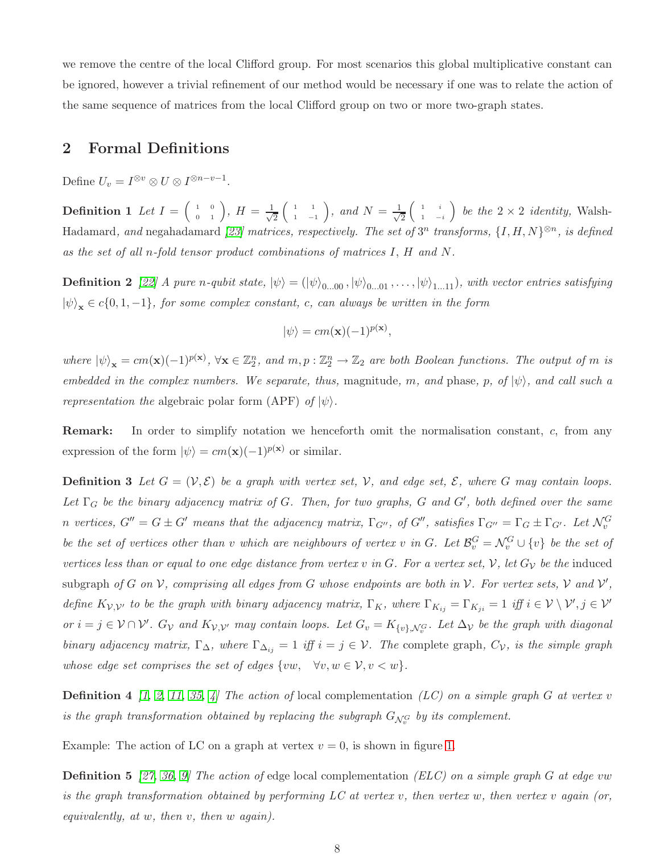we remove the centre of the local Clifford group. For most scenarios this global multiplicative constant can be ignored, however a trivial refinement of our method would be necessary if one was to relate the action of the same sequence of matrices from the local Clifford group on two or more two-graph states.

## <span id="page-7-0"></span>2 Formal Definitions

Define  $U_v = I^{\otimes v} \otimes U \otimes I^{\otimes n-v-1}$ .

**Definition 1** Let  $I = \begin{pmatrix} 1 & 0 \ 0 & 1 \end{pmatrix}$ ,  $H = \frac{1}{\sqrt{2}}$ 2  $\begin{pmatrix} 1 & 1 \end{pmatrix}$  $\begin{pmatrix} 1 & 1 \\ 1 & -1 \end{pmatrix}$ , and  $N = \frac{1}{\sqrt{2}}$ 2  $\begin{pmatrix} 1 & i \end{pmatrix}$  $\begin{pmatrix} 1 & i \\ 1 & -i \end{pmatrix}$  be the  $2 \times 2$  identity, Walsh-Hadamard, and negahadamard [\[23\]](#page-28-11) matrices, respectively. The set of  $3^n$  transforms,  $\{I, H, N\}^{\otimes n}$ , is defined as the set of all n-fold tensor product combinations of matrices I, H and N.

**Definition 2** [\[22\]](#page-28-3) A pure n-qubit state,  $|\psi\rangle = (|\psi\rangle_{0...00}, |\psi\rangle_{0...01}, \ldots, |\psi\rangle_{1...11})$ , with vector entries satisfying  $|\psi\rangle_{\mathbf{x}} \in c\{0, 1, -1\}$ , for some complex constant, c, can always be written in the form

$$
|\psi\rangle = cm(\mathbf{x})(-1)^{p(\mathbf{x})},
$$

where  $|\psi\rangle_{\mathbf{x}} = cm(\mathbf{x})(-1)^{p(\mathbf{x})}, \forall \mathbf{x} \in \mathbb{Z}_2^n$ , and  $m, p : \mathbb{Z}_2^n \to \mathbb{Z}_2$  are both Boolean functions. The output of m is embedded in the complex numbers. We separate, thus, magnitude, m, and phase, p, of  $|\psi\rangle$ , and call such a *representation the* algebraic polar form (APF) of  $|\psi\rangle$ .

Remark: In order to simplify notation we henceforth omit the normalisation constant, c, from any expression of the form  $|\psi\rangle = cm(\mathbf{x})(-1)^{p(\mathbf{x})}$  or similar.

**Definition 3** Let  $G = (V, \mathcal{E})$  be a graph with vertex set, V, and edge set,  $\mathcal{E}$ , where G may contain loops. Let  $\Gamma_G$  be the binary adjacency matrix of G. Then, for two graphs, G and G', both defined over the same n vertices,  $G'' = G \pm G'$  means that the adjacency matrix,  $\Gamma_{G''}$ , of  $G''$ , satisfies  $\Gamma_{G''} = \Gamma_G \pm \Gamma_{G'}$ . Let  $\mathcal{N}_v^G$ be the set of vertices other than v which are neighbours of vertex v in G. Let  $\mathcal{B}_v^G = \mathcal{N}_v^G \cup \{v\}$  be the set of vertices less than or equal to one edge distance from vertex v in G. For a vertex set, V, let  $G_V$  be the induced subgraph of G on V, comprising all edges from G whose endpoints are both in V. For vertex sets, V and  $\mathcal{V}',$ define  $K_{\mathcal{V},\mathcal{V}'}$  to be the graph with binary adjacency matrix,  $\Gamma_K$ , where  $\Gamma_{K_{ij}} = \Gamma_{K_{ji}} = 1$  iff  $i \in \mathcal{V} \setminus \mathcal{V}', j \in \mathcal{V}'$ or  $i = j \in V \cap V'$ .  $G_V$  and  $K_{V,V'}$  may contain loops. Let  $G_v = K_{\{v\}, \mathcal{N}_v^G}$ . Let  $\Delta_V$  be the graph with diagonal binary adjacency matrix,  $\Gamma_{\Delta}$ , where  $\Gamma_{\Delta_{ij}} = 1$  iff  $i = j \in \mathcal{V}$ . The complete graph,  $C_{\mathcal{V}}$ , is the simple graph whose edge set comprises the set of edges  $\{vw, \forall v, w \in V, v < w\}.$ 

**Definition 4** [\[1,](#page-26-2) [2,](#page-26-4) [11,](#page-27-5) [35,](#page-29-1) [4\]](#page-26-1) The action of local complementation (LC) on a simple graph G at vertex v is the graph transformation obtained by replacing the subgraph  $G_{\mathcal{N}_v^G}$  by its complement.

Example: The action of LC on a graph at vertex  $v = 0$ , is shown in figure [1.](#page-8-0)

**Definition 5** [\[27,](#page-28-5) [36,](#page-29-2) [9\]](#page-27-1) The action of edge local complementation (ELC) on a simple graph G at edge vw is the graph transformation obtained by performing LC at vertex v, then vertex w, then vertex v again (or, equivalently, at  $w$ , then  $v$ , then  $w$  again).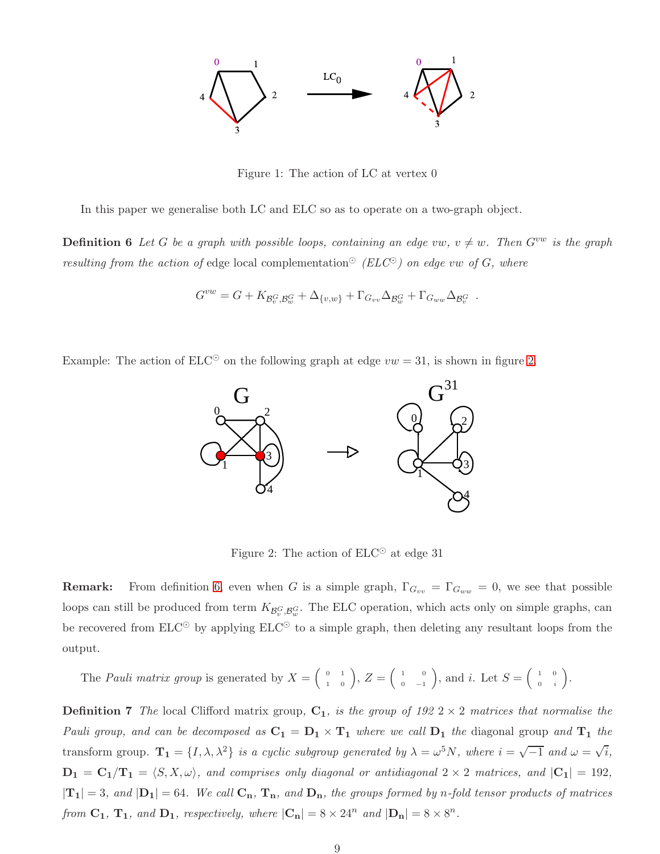

<span id="page-8-0"></span>Figure 1: The action of LC at vertex 0

<span id="page-8-2"></span>In this paper we generalise both LC and ELC so as to operate on a two-graph object.

**Definition 6** Let G be a graph with possible loops, containing an edge vw,  $v \neq w$ . Then  $G^{vw}$  is the graph resulting from the action of edge local complementation<sup> $\odot$ </sup> (ELC<sup> $\odot$ </sup>) on edge vw of G, where

$$
G^{vw} = G + K_{\mathcal{B}_v^G, \mathcal{B}_w^G} + \Delta_{\{v,w\}} + \Gamma_{G_{vv}} \Delta_{\mathcal{B}_w^G} + \Gamma_{G_{ww}} \Delta_{\mathcal{B}_v^G}.
$$

Example: The action of  $ELC^{\odot}$  on the following graph at edge  $vw = 31$ , is shown in figure [2.](#page-8-1)



<span id="page-8-1"></span>Figure 2: The action of  $ELC^{\odot}$  at edge 31

**Remark:** From definition [6,](#page-8-2) even when G is a simple graph,  $\Gamma_{G_{vv}} = \Gamma_{G_{ww}} = 0$ , we see that possible loops can still be produced from term  $K_{\mathcal{B}_v^G,\mathcal{B}_w^G}$ . The ELC operation, which acts only on simple graphs, can be recovered from  $E\text{LC}^{\odot}$  by applying  $E\text{LC}^{\odot}$  to a simple graph, then deleting any resultant loops from the output.

The *Pauli matrix group* is generated by 
$$
X = \begin{pmatrix} 0 & 1 \ 1 & 0 \end{pmatrix}
$$
,  $Z = \begin{pmatrix} 1 & 0 \ 0 & -1 \end{pmatrix}$ , and *i*. Let  $S = \begin{pmatrix} 1 & 0 \ 0 & i \end{pmatrix}$ .

**Definition 7** The local Clifford matrix group,  $C_1$ , is the group of 192 2  $\times$  2 matrices that normalise the Pauli group, and can be decomposed as  $C_1 = D_1 \times T_1$  where we call  $D_1$  the diagonal group and  $T_1$  the transform group.  $\mathbf{T_1} = \{I, \lambda, \lambda^2\}$  is a cyclic subgroup generated by  $\lambda = \omega^5 N$ , where  $i = \sqrt{-1}$  and  $\omega = \sqrt{i}$ ,  $D_1 = C_1/T_1 = \langle S, X, \omega \rangle$ , and comprises only diagonal or antidiagonal  $2 \times 2$  matrices, and  $|C_1| = 192$ ,  $|T_1| = 3$ , and  $|D_1| = 64$ . We call  $C_n$ ,  $T_n$ , and  $D_n$ , the groups formed by n-fold tensor products of matrices from  $C_1$ ,  $T_1$ , and  $D_1$ , respectively, where  $|C_n| = 8 \times 24^n$  and  $|D_n| = 8 \times 8^n$ .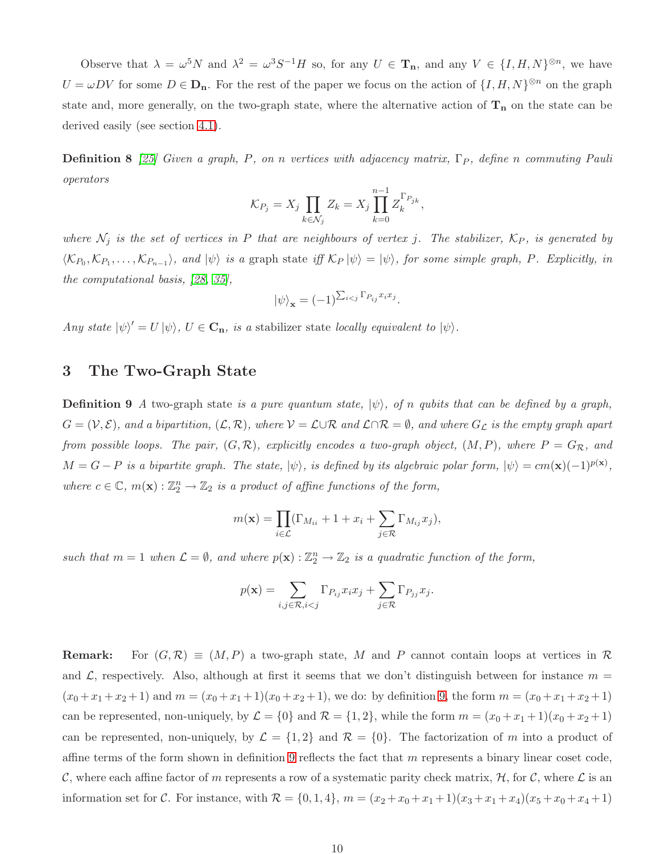Observe that  $\lambda = \omega^5 N$  and  $\lambda^2 = \omega^3 S^{-1} H$  so, for any  $U \in \mathbf{T}_n$ , and any  $V \in \{I, H, N\}^{\otimes n}$ , we have  $U = \omega DV$  for some  $D \in \mathbf{D}_n$ . For the rest of the paper we focus on the action of  $\{I, H, N\}^{\otimes n}$  on the graph state and, more generally, on the two-graph state, where the alternative action of  $T_n$  on the state can be derived easily (see section [4.1\)](#page-17-1).

**Definition 8** [\[25\]](#page-28-4) Given a graph, P, on n vertices with adjacency matrix,  $\Gamma_P$ , define n commuting Pauli operators

$$
\mathcal{K}_{P_j} = X_j \prod_{k \in \mathcal{N}_j} Z_k = X_j \prod_{k=0}^{n-1} Z_k^{\Gamma_{P_{jk}}},
$$

where  $\mathcal{N}_j$  is the set of vertices in P that are neighbours of vertex j. The stabilizer,  $\mathcal{K}_P$ , is generated by  $\langle\mathcal{K}_{P_0},\mathcal{K}_{P_1},\ldots,\mathcal{K}_{P_{n-1}}\rangle$ , and  $|\psi\rangle$  is a graph state iff  $\mathcal{K}_P|\psi\rangle = |\psi\rangle$ , for some simple graph, P. Explicitly, in the computational basis, [\[28,](#page-28-1) [35\]](#page-29-1),

$$
|\psi\rangle_{\mathbf{x}} = (-1)^{\sum_{i < j} \Gamma_{P_{ij}} x_i x_j}
$$

.

<span id="page-9-1"></span>Any state  $|\psi\rangle' = U |\psi\rangle$ ,  $U \in \mathbf{C}_{\mathbf{n}}$ , is a stabilizer state locally equivalent to  $|\psi\rangle$ .

## <span id="page-9-0"></span>3 The Two-Graph State

**Definition 9** A two-graph state is a pure quantum state,  $|\psi\rangle$ , of n qubits that can be defined by a graph,  $G = (\mathcal{V}, \mathcal{E})$ , and a bipartition,  $(\mathcal{L}, \mathcal{R})$ , where  $\mathcal{V} = \mathcal{L} \cup \mathcal{R}$  and  $\mathcal{L} \cap \mathcal{R} = \emptyset$ , and where  $G_{\mathcal{L}}$  is the empty graph apart from possible loops. The pair,  $(G, \mathcal{R})$ , explicitly encodes a two-graph object,  $(M, P)$ , where  $P = G_{\mathcal{R}}$ , and  $M = G - P$  is a bipartite graph. The state,  $|\psi\rangle$ , is defined by its algebraic polar form,  $|\psi\rangle = cm(\mathbf{x})(-1)^{p(\mathbf{x})}$ , where  $c \in \mathbb{C}$ ,  $m(\mathbf{x}) : \mathbb{Z}_2^n \to \mathbb{Z}_2$  is a product of affine functions of the form,

$$
m(\mathbf{x}) = \prod_{i \in \mathcal{L}} (\Gamma_{M_{ii}} + 1 + x_i + \sum_{j \in \mathcal{R}} \Gamma_{M_{ij}} x_j),
$$

such that  $m = 1$  when  $\mathcal{L} = \emptyset$ , and where  $p(\mathbf{x}) : \mathbb{Z}_2^n \to \mathbb{Z}_2$  is a quadratic function of the form,

$$
p(\mathbf{x}) = \sum_{i,j \in \mathcal{R}, i < j} \Gamma_{P_{ij}} x_i x_j + \sum_{j \in \mathcal{R}} \Gamma_{P_{jj}} x_j.
$$

**Remark:** For  $(G, \mathcal{R}) \equiv (M, P)$  a two-graph state, M and P cannot contain loops at vertices in R and  $\mathcal{L}$ , respectively. Also, although at first it seems that we don't distinguish between for instance  $m =$  $(x_0 + x_1 + x_2 + 1)$  and  $m = (x_0 + x_1 + 1)(x_0 + x_2 + 1)$ , we do: by definition [9,](#page-9-0) the form  $m = (x_0 + x_1 + x_2 + 1)$ can be represented, non-uniquely, by  $\mathcal{L} = \{0\}$  and  $\mathcal{R} = \{1, 2\}$ , while the form  $m = (x_0 + x_1 + 1)(x_0 + x_2 + 1)$ can be represented, non-uniquely, by  $\mathcal{L} = \{1, 2\}$  and  $\mathcal{R} = \{0\}$ . The factorization of m into a product of affine terms of the form shown in definition [9](#page-9-0) reflects the fact that  $m$  represents a binary linear coset code, C, where each affine factor of m represents a row of a systematic parity check matrix,  $H$ , for C, where L is an information set for C. For instance, with  $\mathcal{R} = \{0, 1, 4\}$ ,  $m = (x_2 + x_0 + x_1 + 1)(x_3 + x_1 + x_4)(x_5 + x_0 + x_4 + 1)$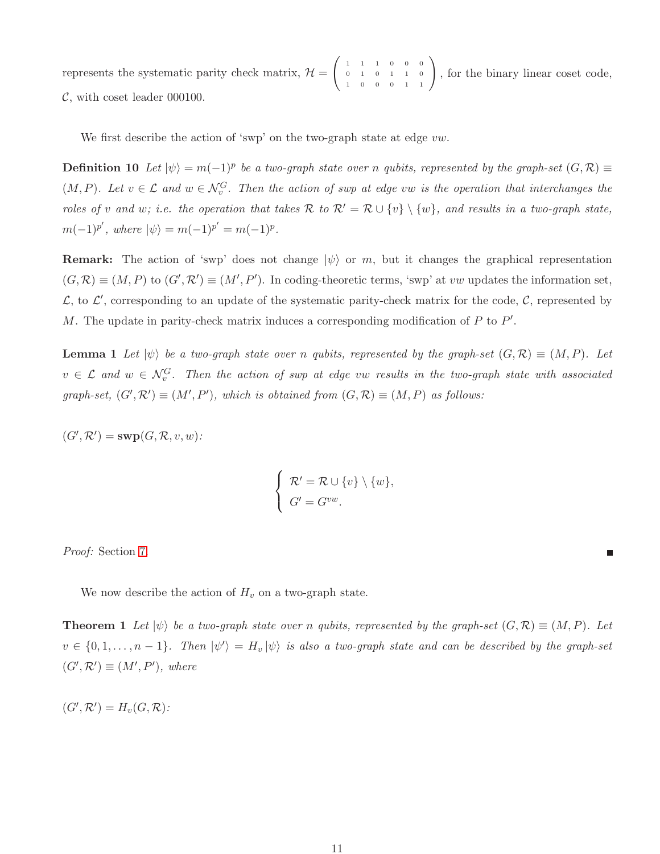represents the systematic parity check matrix,  $\mathcal{H} =$  $\begin{pmatrix} 1 & 1 & 1 & 0 & 0 & 0 \end{pmatrix}$ 0 1 0 1 1 0  $\begin{pmatrix} 1 & 1 & 1 & 0 & 0 & 0 \\ 0 & 1 & 0 & 1 & 1 & 0 \\ 1 & 0 & 0 & 0 & 1 & 1 \end{pmatrix}$ , for the binary linear coset code,  $\mathcal{C}$ , with coset leader 000100.

We first describe the action of 'swp' on the two-graph state at edge  $vw$ .

**Definition 10** Let  $|\psi\rangle = m(-1)^p$  be a two-graph state over n qubits, represented by the graph-set  $(G, \mathcal{R}) \equiv$  $(M, P)$ . Let  $v \in \mathcal{L}$  and  $w \in \mathcal{N}_v^G$ . Then the action of swp at edge vw is the operation that interchanges the roles of v and w; i.e. the operation that takes  $\mathcal{R}$  to  $\mathcal{R}' = \mathcal{R} \cup \{v\} \setminus \{w\}$ , and results in a two-graph state,  $m(-1)^{p'}$ , where  $|\psi\rangle = m(-1)^{p'} = m(-1)^{p}$ .

**Remark:** The action of 'swp' does not change  $|\psi\rangle$  or m, but it changes the graphical representation  $(G,\mathcal{R}) \equiv (M,P)$  to  $(G',\mathcal{R}') \equiv (M',P')$ . In coding-theoretic terms, 'swp' at vw updates the information set,  $\mathcal{L}$ , to  $\mathcal{L}'$ , corresponding to an update of the systematic parity-check matrix for the code,  $\mathcal{C}$ , represented by M. The update in parity-check matrix induces a corresponding modification of  $P$  to  $P'$ .

<span id="page-10-1"></span>**Lemma 1** Let  $|\psi\rangle$  be a two-graph state over n qubits, represented by the graph-set  $(G, \mathcal{R}) \equiv (M, P)$ . Let  $v \in \mathcal{L}$  and  $w \in \mathcal{N}_v^G$ . Then the action of swp at edge vw results in the two-graph state with associated graph-set,  $(G', \mathcal{R}') \equiv (M', P')$ , which is obtained from  $(G, \mathcal{R}) \equiv (M, P)$  as follows:

 $(G',\mathcal{R}') = \textbf{sup}(G,\mathcal{R},v,w)$ :

$$
\begin{cases}\n\mathcal{R}' = \mathcal{R} \cup \{v\} \setminus \{w\}, \\
G' = G^{vw}.\n\end{cases}
$$

Proof: Section [7.](#page-21-0)

<span id="page-10-0"></span>We now describe the action of  $H_v$  on a two-graph state.

**Theorem 1** Let  $|\psi\rangle$  be a two-graph state over n qubits, represented by the graph-set  $(G, \mathcal{R}) \equiv (M, P)$ . Let  $v \in \{0,1,\ldots,n-1\}$ . Then  $|\psi'\rangle = H_v |\psi\rangle$  is also a two-graph state and can be described by the graph-set  $(G',\mathcal{R}') \equiv (M',P')$ , where

 $(G',\mathcal{R}')=H_v(G,\mathcal{R})$ :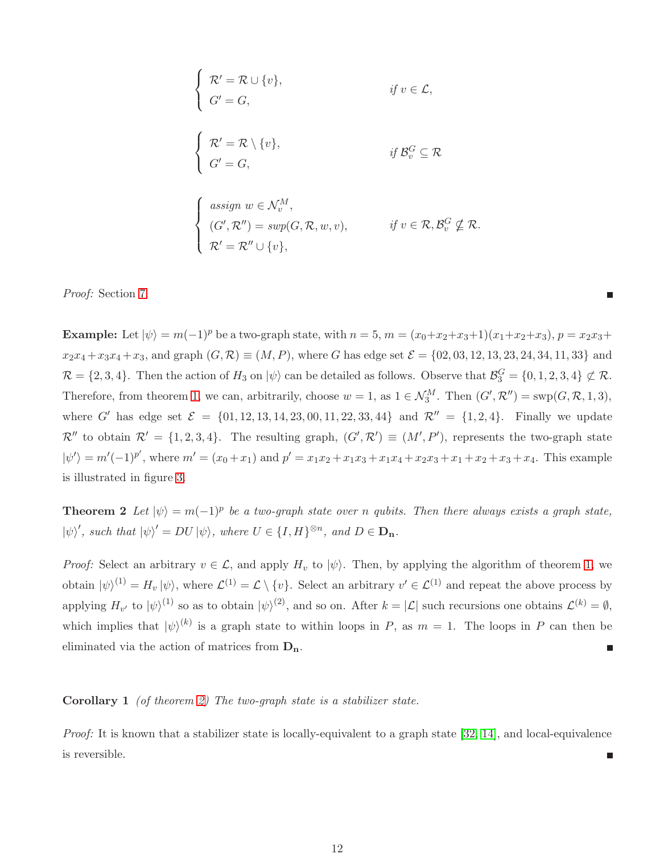$$
\begin{cases}\n\mathcal{R}' = \mathcal{R} \cup \{v\}, & \text{if } v \in \mathcal{L}, \\
G' = G, & \text{if } v \in \mathcal{L},\n\end{cases}
$$
\n
$$
\begin{cases}\n\mathcal{R}' = \mathcal{R} \setminus \{v\}, & \text{if } \mathcal{B}_v^G \subseteq \mathcal{R} \\
G' = G,\n\end{cases}
$$
\n
$$
\begin{cases}\n\text{assign } w \in \mathcal{N}_v^M, \\
(G', \mathcal{R}'') = \text{sup}(G, \mathcal{R}, w, v), & \text{if } v \in \mathcal{R}, \mathcal{B}_v^G \nsubseteq \mathcal{R} \\
\mathcal{R}' = \mathcal{R}'' \cup \{v\}, & \text{if } v \in \mathcal{R}, \mathcal{B}_v^G \nsubseteq \mathcal{R}.\n\end{cases}
$$

Proof: Section [7.](#page-21-0)

**Example:** Let  $|\psi\rangle = m(-1)^p$  be a two-graph state, with  $n = 5$ ,  $m = (x_0 + x_2 + x_3 + 1)(x_1 + x_2 + x_3)$ ,  $p = x_2x_3 +$  $x_2x_4 + x_3x_4 + x_3$ , and graph  $(G, \mathcal{R}) \equiv (M, P)$ , where G has edge set  $\mathcal{E} = \{02, 03, 12, 13, 23, 24, 34, 11, 33\}$  and  $\mathcal{R} = \{2, 3, 4\}$ . Then the action of  $H_3$  on  $|\psi\rangle$  can be detailed as follows. Observe that  $\mathcal{B}_3^G = \{0, 1, 2, 3, 4\} \not\subset \mathcal{R}$ . Therefore, from theorem [1,](#page-10-0) we can, arbitrarily, choose  $w = 1$ , as  $1 \in \mathcal{N}_3^M$ . Then  $(G', \mathcal{R}'') = \text{sup}(G, \mathcal{R}, 1, 3)$ , where G' has edge set  $\mathcal{E} = \{01, 12, 13, 14, 23, 00, 11, 22, 33, 44\}$  and  $\mathcal{R}'' = \{1, 2, 4\}$ . Finally we update  $\mathcal{R}''$  to obtain  $\mathcal{R}' = \{1, 2, 3, 4\}$ . The resulting graph,  $(G', \mathcal{R}') \equiv (M', P')$ , represents the two-graph state  $|\psi'\rangle = m'(-1)^{p'}$ , where  $m' = (x_0 + x_1)$  and  $p' = x_1x_2 + x_1x_3 + x_1x_4 + x_2x_3 + x_1 + x_2 + x_3 + x_4$ . This example is illustrated in figure [3.](#page-12-0)

Ē

<span id="page-11-0"></span>**Theorem 2** Let  $|\psi\rangle = m(-1)^p$  be a two-graph state over n qubits. Then there always exists a graph state,  $|\psi\rangle'$ , such that  $|\psi\rangle' = DU |\psi\rangle$ , where  $U \in \{I, H\}^{\otimes n}$ , and  $D \in \mathbf{D}_n$ .

*Proof:* Select an arbitrary  $v \in \mathcal{L}$ , and apply  $H_v$  to  $|\psi\rangle$ . Then, by applying the algorithm of theorem [1,](#page-10-0) we obtain  $|\psi\rangle^{(1)} = H_v |\psi\rangle$ , where  $\mathcal{L}^{(1)} = \mathcal{L} \setminus \{v\}$ . Select an arbitrary  $v' \in \mathcal{L}^{(1)}$  and repeat the above process by applying  $H_{v'}$  to  $|\psi\rangle^{(1)}$  so as to obtain  $|\psi\rangle^{(2)}$ , and so on. After  $k = |\mathcal{L}|$  such recursions one obtains  $\mathcal{L}^{(k)} = \emptyset$ , which implies that  $|\psi\rangle^{(k)}$  is a graph state to within loops in P, as  $m = 1$ . The loops in P can then be eliminated via the action of matrices from  $D_n$ . E

### Corollary 1 (of theorem [2\)](#page-11-0) The two-graph state is a stabilizer state.

Proof: It is known that a stabilizer state is locally-equivalent to a graph state [\[32,](#page-29-0) [14\]](#page-27-11), and local-equivalence is reversible.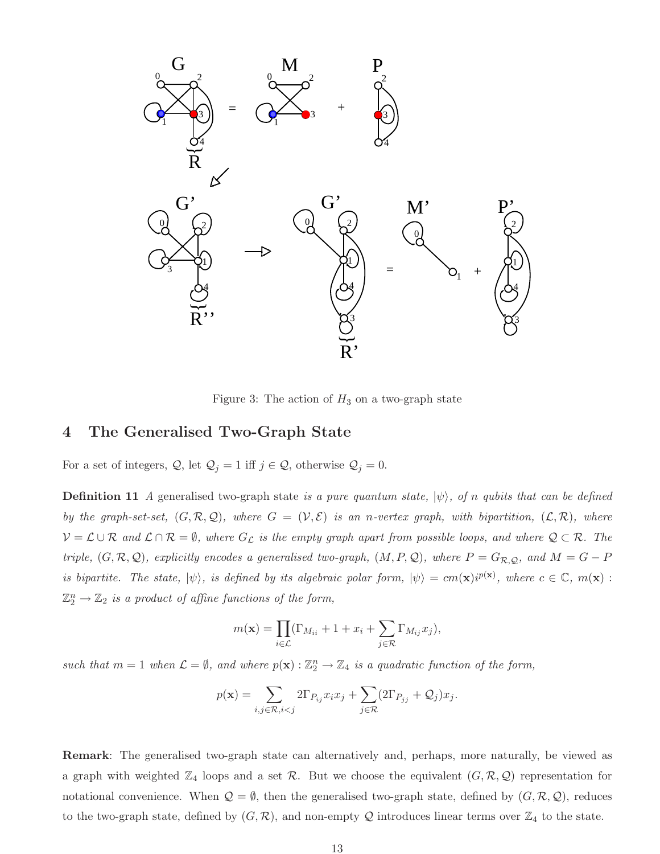

<span id="page-12-0"></span>Figure 3: The action of  $H_3$  on a two-graph state

# <span id="page-12-1"></span>4 The Generalised Two-Graph State

For a set of integers,  $\mathcal{Q}$ , let  $\mathcal{Q}_j = 1$  iff  $j \in \mathcal{Q}$ , otherwise  $\mathcal{Q}_j = 0$ .

**Definition 11** A generalised two-graph state is a pure quantum state,  $|\psi\rangle$ , of n qubits that can be defined by the graph-set-set,  $(G, \mathcal{R}, \mathcal{Q})$ , where  $G = (\mathcal{V}, \mathcal{E})$  is an n-vertex graph, with bipartition,  $(\mathcal{L}, \mathcal{R})$ , where  $V = \mathcal{L} \cup \mathcal{R}$  and  $\mathcal{L} \cap \mathcal{R} = \emptyset$ , where  $G_{\mathcal{L}}$  is the empty graph apart from possible loops, and where  $\mathcal{Q} \subset \mathcal{R}$ . The triple,  $(G, \mathcal{R}, \mathcal{Q})$ , explicitly encodes a generalised two-graph,  $(M, P, \mathcal{Q})$ , where  $P = G_{\mathcal{R}, \mathcal{Q}}$ , and  $M = G - P$ is bipartite. The state,  $|\psi\rangle$ , is defined by its algebraic polar form,  $|\psi\rangle = cm(\mathbf{x})i^{p(\mathbf{x})}$ , where  $c \in \mathbb{C}$ ,  $m(\mathbf{x})$ :  $\mathbb{Z}_2^n \to \mathbb{Z}_2$  is a product of affine functions of the form,

$$
m(\mathbf{x}) = \prod_{i \in \mathcal{L}} (\Gamma_{M_{ii}} + 1 + x_i + \sum_{j \in \mathcal{R}} \Gamma_{M_{ij}} x_j),
$$

such that  $m = 1$  when  $\mathcal{L} = \emptyset$ , and where  $p(\mathbf{x}) : \mathbb{Z}_2^n \to \mathbb{Z}_4$  is a quadratic function of the form,

$$
p(\mathbf{x}) = \sum_{i,j \in \mathcal{R}, i < j} 2\Gamma_{P_{ij}} x_i x_j + \sum_{j \in \mathcal{R}} (2\Gamma_{P_{jj}} + \mathcal{Q}_j) x_j.
$$

Remark: The generalised two-graph state can alternatively and, perhaps, more naturally, be viewed as a graph with weighted  $\mathbb{Z}_4$  loops and a set  $\mathcal{R}$ . But we choose the equivalent  $(G, \mathcal{R}, \mathcal{Q})$  representation for notational convenience. When  $\mathcal{Q} = \emptyset$ , then the generalised two-graph state, defined by  $(G, \mathcal{R}, \mathcal{Q})$ , reduces to the two-graph state, defined by  $(G, \mathcal{R})$ , and non-empty Q introduces linear terms over  $\mathbb{Z}_4$  to the state.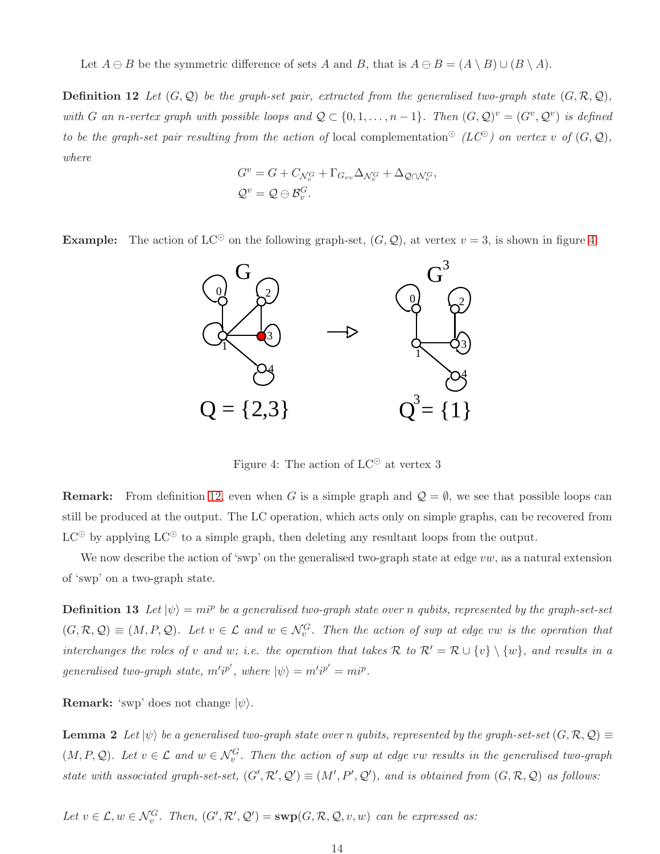<span id="page-13-1"></span>Let  $A \ominus B$  be the symmetric difference of sets A and B, that is  $A \ominus B = (A \setminus B) \cup (B \setminus A)$ .

**Definition 12** Let  $(G, \mathcal{Q})$  be the graph-set pair, extracted from the generalised two-graph state  $(G, \mathcal{R}, \mathcal{Q})$ , with G an n-vertex graph with possible loops and  $Q \subset \{0, 1, ..., n-1\}$ . Then  $(G, Q)^v = (G^v, Q^v)$  is defined to be the graph-set pair resulting from the action of local complementation<sup>⊙</sup> (LC<sup>⊙</sup>) on vertex v of  $(G, \mathcal{Q})$ , where

$$
G^{v} = G + C_{\mathcal{N}_v^G} + \Gamma_{G_{vv}} \Delta_{\mathcal{N}_v^G} + \Delta_{\mathcal{Q} \cap \mathcal{N}_v^G},
$$
  

$$
\mathcal{Q}^{v} = \mathcal{Q} \ominus \mathcal{B}_v^G.
$$

**Example:** The action of LC<sup>⊙</sup> on the following graph-set,  $(G, Q)$ , at vertex  $v = 3$ , is shown in figure [4.](#page-13-0)



<span id="page-13-0"></span>Figure 4: The action of  $LC^{\odot}$  at vertex 3

**Remark:** From definition [12,](#page-13-1) even when G is a simple graph and  $\mathcal{Q} = \emptyset$ , we see that possible loops can still be produced at the output. The LC operation, which acts only on simple graphs, can be recovered from  $LC^{\odot}$  by applying  $LC^{\odot}$  to a simple graph, then deleting any resultant loops from the output.

We now describe the action of 'swp' on the generalised two-graph state at edge  $vw$ , as a natural extension of 'swp' on a two-graph state.

**Definition 13** Let  $|\psi\rangle = m i^p$  be a generalised two-graph state over n qubits, represented by the graph-set-set  $(G, \mathcal{R}, \mathcal{Q}) \equiv (M, P, \mathcal{Q})$ . Let  $v \in \mathcal{L}$  and  $w \in \mathcal{N}_v^G$ . Then the action of swp at edge vw is the operation that interchanges the roles of v and w; i.e. the operation that takes R to  $\mathcal{R}' = \mathcal{R} \cup \{v\} \setminus \{w\}$ , and results in a generalised two-graph state,  $m'i^{p'}$ , where  $|\psi\rangle = m'i^{p'} = mi^{p}$ .

<span id="page-13-2"></span>**Remark:** 'swp' does not change  $|\psi\rangle$ .

**Lemma 2** Let  $|\psi\rangle$  be a generalised two-graph state over n qubits, represented by the graph-set-set  $(G, \mathcal{R}, \mathcal{Q}) \equiv$  $(M, P, Q)$ . Let  $v \in \mathcal{L}$  and  $w \in \mathcal{N}_v^G$ . Then the action of swp at edge vw results in the generalised two-graph state with associated graph-set-set,  $(G', \mathcal{R}', \mathcal{Q}') \equiv (M', P', \mathcal{Q}')$ , and is obtained from  $(G, \mathcal{R}, \mathcal{Q})$  as follows:

Let  $v \in \mathcal{L}, w \in \mathcal{N}_v^G$ . Then,  $(G', \mathcal{R}', \mathcal{Q}') = \text{supp}(G, \mathcal{R}, \mathcal{Q}, v, w)$  can be expressed as: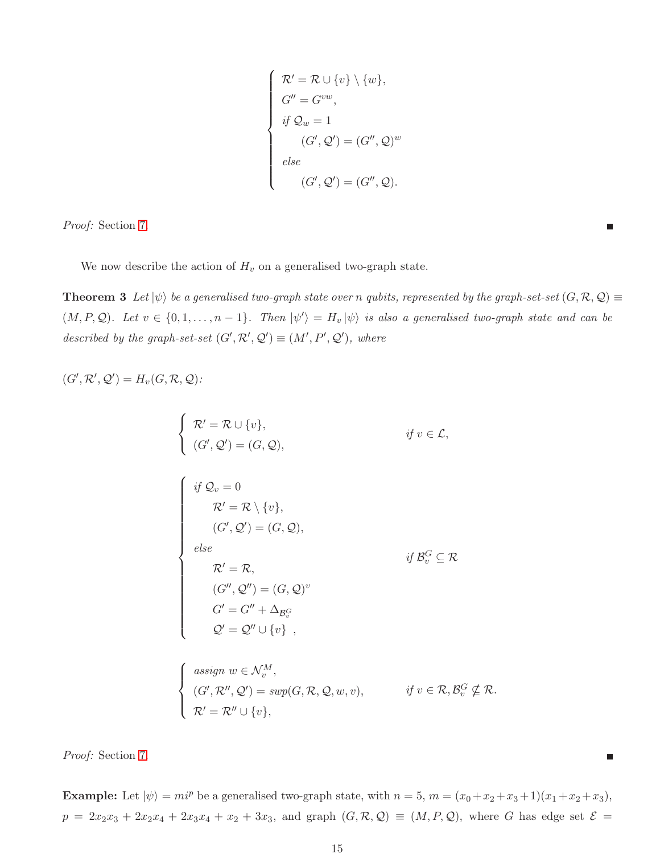$$
\begin{cases}\n\mathcal{R}' = \mathcal{R} \cup \{v\} \setminus \{w\}, \\
G'' = G^{vw}, \\
\text{if } \mathcal{Q}_w = 1 \\
(G', \mathcal{Q}') = (G'', \mathcal{Q})^w \\
\text{else} \\
(G', \mathcal{Q}') = (G'', \mathcal{Q}).\n\end{cases}
$$

Proof: Section [7.](#page-21-0)

<span id="page-14-0"></span>We now describe the action of  $H_v$  on a generalised two-graph state.

**Theorem 3** Let  $|\psi\rangle$  be a generalised two-graph state over n qubits, represented by the graph-set-set  $(G, \mathcal{R}, \mathcal{Q}) \equiv$  $(M, P, Q)$ . Let  $v \in \{0, 1, \ldots, n-1\}$ . Then  $|\psi'\rangle = H_v |\psi\rangle$  is also a generalised two-graph state and can be described by the graph-set-set  $(G', \mathcal{R}', \mathcal{Q}') \equiv (M', P', \mathcal{Q}')$ , where

Ξ

г

$$
(G',\mathcal{R}',\mathcal{Q}')=H_v(G,\mathcal{R},\mathcal{Q}):
$$

$$
\begin{cases}\n\mathcal{R}' = \mathcal{R} \cup \{v\}, & \text{if } v \in \mathcal{L}, \\
(G', \mathcal{Q}') = (G, \mathcal{Q}), & \text{if } v \in \mathcal{L}, \\
\begin{cases}\n\text{if } \mathcal{Q}_v = 0 \\
\mathcal{R}' = \mathcal{R} \setminus \{v\}, \\
(G', \mathcal{Q}') = (G, \mathcal{Q}), \\
\text{else} \\
\mathcal{R}' = \mathcal{R}, \\
(G'', \mathcal{Q}'') = (G, \mathcal{Q})^v \\
G' = G'' + \Delta_{\mathcal{B}_v^G} \\
\mathcal{Q}' = \mathcal{Q}'' \cup \{v\},\n\end{cases}\n\text{,}
$$

$$
\begin{cases}\n\text{assign } w \in \mathcal{N}_v^M, \\
(G', \mathcal{R}'', \mathcal{Q}') = \text{sup}(G, \mathcal{R}, \mathcal{Q}, w, v), \\
\mathcal{R}' = \mathcal{R}'' \cup \{v\},\n\end{cases} \quad \text{if } v \in \mathcal{R}, \mathcal{B}_v^G \nsubseteq \mathcal{R}.
$$

Proof: Section [7.](#page-21-0)

Example: Let  $|\psi\rangle = m i^p$  be a generalised two-graph state, with  $n = 5$ ,  $m = (x_0 + x_2 + x_3 + 1)(x_1 + x_2 + x_3)$ ,  $p = 2x_2x_3 + 2x_2x_4 + 2x_3x_4 + x_2 + 3x_3$ , and graph  $(G, \mathcal{R}, \mathcal{Q}) \equiv (M, P, \mathcal{Q})$ , where G has edge set  $\mathcal{E}$  =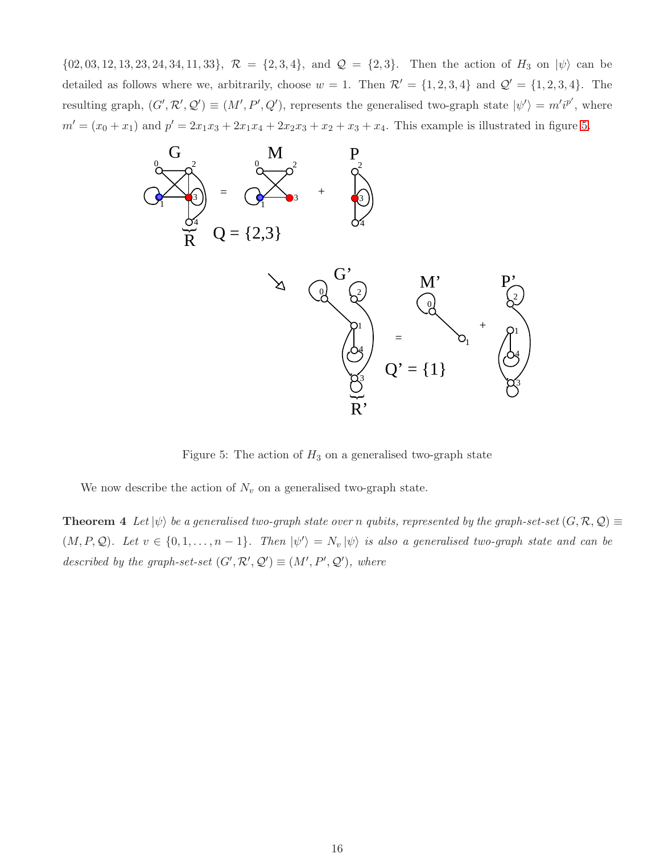$\{02, 03, 12, 13, 23, 24, 34, 11, 33\}, \mathcal{R} = \{2, 3, 4\}, \text{ and } \mathcal{Q} = \{2, 3\}. \text{ Then the action of } H_3 \text{ on } |\psi\rangle \text{ can be }$ detailed as follows where we, arbitrarily, choose  $w = 1$ . Then  $\mathcal{R}' = \{1, 2, 3, 4\}$  and  $\mathcal{Q}' = \{1, 2, 3, 4\}$ . The resulting graph,  $(G', \mathcal{R}', \mathcal{Q}') \equiv (M', P', Q')$ , represents the generalised two-graph state  $|\psi'\rangle = m'i^{p'}$ , where  $m' = (x_0 + x_1)$  and  $p' = 2x_1x_3 + 2x_1x_4 + 2x_2x_3 + x_2 + x_3 + x_4$ . This example is illustrated in figure [5.](#page-15-0)



<span id="page-15-0"></span>Figure 5: The action of  $H_3$  on a generalised two-graph state

<span id="page-15-1"></span>We now describe the action of  $N_v$  on a generalised two-graph state.

**Theorem 4** Let  $|\psi\rangle$  be a generalised two-graph state over n qubits, represented by the graph-set-set  $(G, \mathcal{R}, \mathcal{Q}) \equiv$  $(M, P, Q)$ . Let  $v \in \{0, 1, \ldots, n-1\}$ . Then  $|\psi'\rangle = N_v |\psi\rangle$  is also a generalised two-graph state and can be described by the graph-set-set  $(G', \mathcal{R}', \mathcal{Q}') \equiv (M', P', \mathcal{Q}')$ , where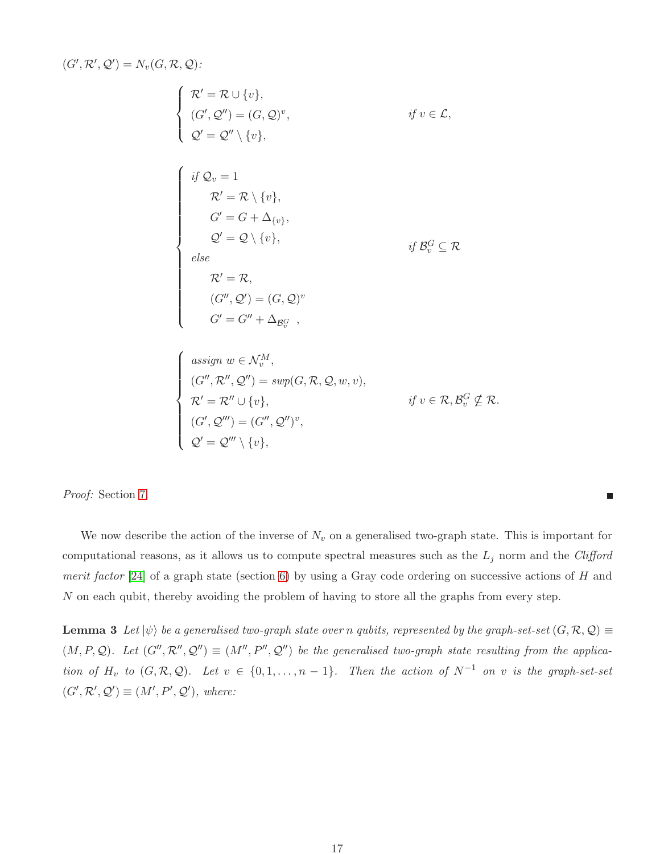$(G',\mathcal{R}',\mathcal{Q}')=N_v(G,\mathcal{R},\mathcal{Q})$ :

$$
\left\{\n\begin{aligned}\n\mathcal{R}' &= \mathcal{R} \cup \{v\}, \\
(\mathcal{G}', \mathcal{Q}'') &= (\mathcal{G}, \mathcal{Q})^v, \\
\mathcal{Q}' &= \mathcal{Q}'' \setminus \{v\}, \\
\mathcal{G}' &= \mathcal{Q} \setminus \{v\}, \\
\mathcal{G}' &= \mathcal{G} + \Delta_{\{v\}}, \\
\mathcal{Q}' &= \mathcal{Q} \setminus \{v\}, \\
\mathcal{Q}' &= \mathcal{Q} \setminus \{v\}, \\
\mathcal{E}' &= \mathcal{R}, \\
(\mathcal{G}'', \mathcal{Q}') &= (\mathcal{G}, \mathcal{Q})^v \\
\mathcal{G}' &= \mathcal{G}'' + \Delta_{\mathcal{B}_{\mathcal{G}}^G}, \\
\text{assign } w \in \mathcal{N}_{\mathcal{M}}^M, \\
(\mathcal{G}'', \mathcal{R}'', \mathcal{Q}'') &= \sup(\mathcal{G}, \mathcal{R}, \mathcal{Q}, w, v), \\
\mathcal{R}' &= \mathcal{R}'' \cup \{v\}, \\
(\mathcal{G}', \mathcal{Q}''') &= (\mathcal{G}'', \mathcal{Q}'')^v, \\
\mathcal{Q}' &= \mathcal{Q}''' \setminus \{v\},\n\end{aligned}\n\right.
$$

Proof: Section [7.](#page-21-0)

We now describe the action of the inverse of  $N_v$  on a generalised two-graph state. This is important for computational reasons, as it allows us to compute spectral measures such as the  $L_j$  norm and the Clifford merit factor [\[24\]](#page-28-12) of a graph state (section [6\)](#page-18-0) by using a Gray code ordering on successive actions of  $H$  and N on each qubit, thereby avoiding the problem of having to store all the graphs from every step.

 $\blacksquare$ 

<span id="page-16-0"></span>**Lemma 3** Let  $|\psi\rangle$  be a generalised two-graph state over n qubits, represented by the graph-set-set  $(G, \mathcal{R}, \mathcal{Q}) \equiv$  $(M, P, Q)$ . Let  $(G'', \mathcal{R}'', Q'') \equiv (M'', P'', Q'')$  be the generalised two-graph state resulting from the application of  $H_v$  to  $(G, \mathcal{R}, \mathcal{Q})$ . Let  $v \in \{0, 1, \ldots, n-1\}$ . Then the action of  $N^{-1}$  on v is the graph-set-set  $(G', \mathcal{R}', \mathcal{Q}') \equiv (M', P', \mathcal{Q}'),$  where: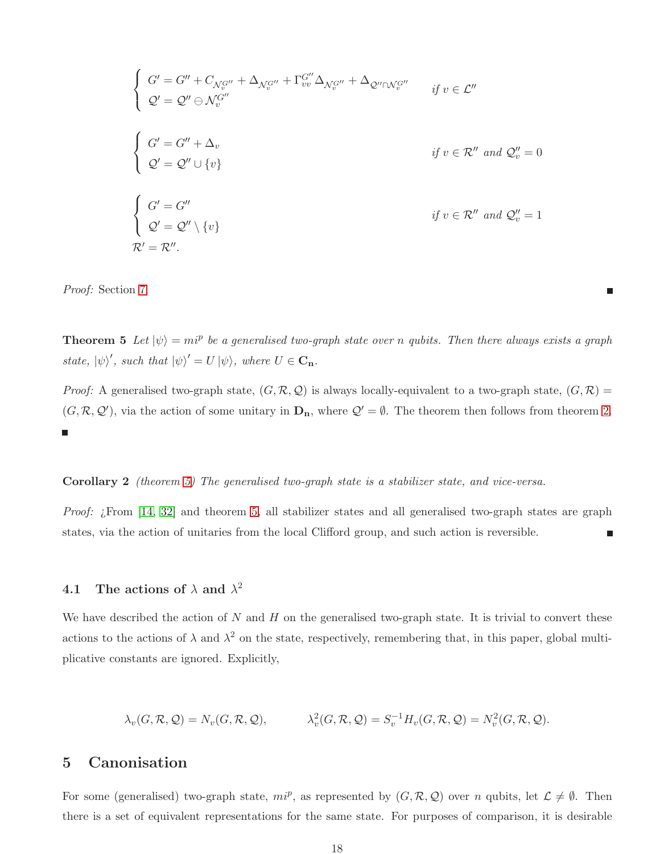$$
\begin{cases}\nG' = G'' + C_{\mathcal{N}_v^{G''}} + \Delta_{\mathcal{N}_v^{G''}} + \Gamma_{vv}^{G''} \Delta_{\mathcal{N}_v^{G''}} + \Delta_{\mathcal{Q}'' \cap \mathcal{N}_v^{G''}} & \text{if } v \in \mathcal{L}'' \\
\mathcal{Q}' = \mathcal{Q}'' \ominus \mathcal{N}_v^{G''} & \text{if } v \in \mathcal{R}'' \text{ and } \mathcal{Q}_v'' = 0\n\end{cases}
$$
\n
$$
\begin{cases}\nG' = G'' + \Delta_v & \text{if } v \in \mathcal{R}'' \text{ and } \mathcal{Q}_v'' = 0 \\
\mathcal{Q}' = \mathcal{Q}'' \cup \{v\} & \text{if } v \in \mathcal{R}'' \text{ and } \mathcal{Q}_v'' = 1\n\end{cases}
$$
\n
$$
\mathcal{R}' = \mathcal{R}''
$$
\n
$$
\mathcal{R}' = \mathcal{R}''.
$$

<span id="page-17-2"></span>Proof: Section [7.](#page-21-0)

**Theorem 5** Let  $|\psi\rangle = m i^p$  be a generalised two-graph state over n qubits. Then there always exists a graph state,  $|\psi\rangle'$ , such that  $|\psi\rangle' = U |\psi\rangle$ , where  $U \in \mathbf{C}_n$ .

Ξ

Proof: A generalised two-graph state,  $(G, \mathcal{R}, \mathcal{Q})$  is always locally-equivalent to a two-graph state,  $(G, \mathcal{R})$  =  $(G, \mathcal{R}, \mathcal{Q}')$ , via the action of some unitary in  $D_n$ , where  $\mathcal{Q}' = \emptyset$ . The theorem then follows from theorem [2.](#page-11-0) <u>n</u>

#### <span id="page-17-0"></span>Corollary 2 (theorem [5\)](#page-17-2) The generalised two-graph state is a stabilizer state, and vice-versa.

Proof: ¿From [\[14,](#page-27-11) [32\]](#page-29-0) and theorem [5,](#page-17-2) all stabilizer states and all generalised two-graph states are graph states, via the action of unitaries from the local Clifford group, and such action is reversible. П

## <span id="page-17-1"></span>4.1 The actions of  $\lambda$  and  $\lambda^2$

We have described the action of  $N$  and  $H$  on the generalised two-graph state. It is trivial to convert these actions to the actions of  $\lambda$  and  $\lambda^2$  on the state, respectively, remembering that, in this paper, global multiplicative constants are ignored. Explicitly,

$$
\lambda_v(G, \mathcal{R}, \mathcal{Q}) = N_v(G, \mathcal{R}, \mathcal{Q}), \qquad \lambda_v^2(G, \mathcal{R}, \mathcal{Q}) = S_v^{-1} H_v(G, \mathcal{R}, \mathcal{Q}) = N_v^2(G, \mathcal{R}, \mathcal{Q}).
$$

## <span id="page-17-3"></span>5 Canonisation

For some (generalised) two-graph state,  $mi^p$ , as represented by  $(G, \mathcal{R}, \mathcal{Q})$  over n qubits, let  $\mathcal{L} \neq \emptyset$ . Then there is a set of equivalent representations for the same state. For purposes of comparison, it is desirable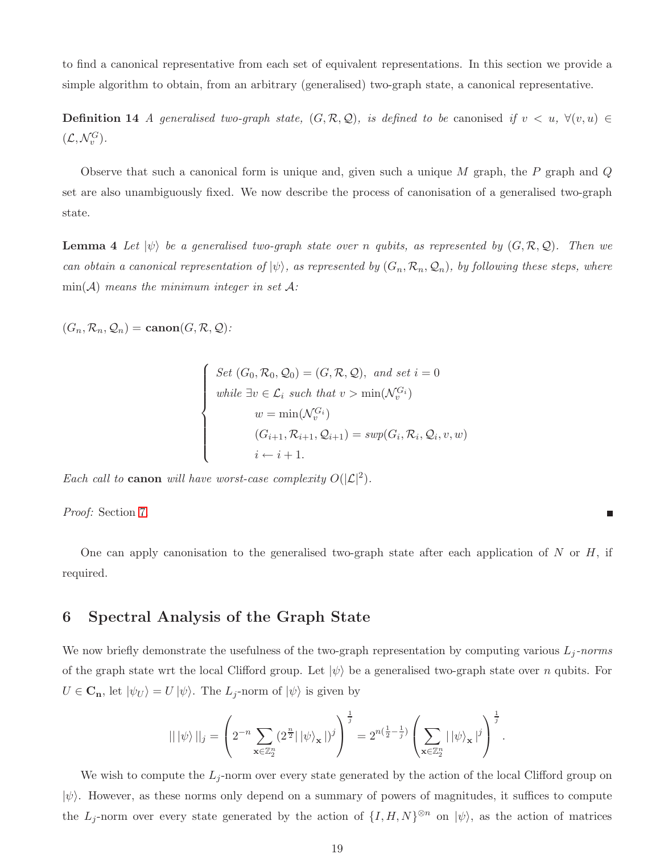to find a canonical representative from each set of equivalent representations. In this section we provide a simple algorithm to obtain, from an arbitrary (generalised) two-graph state, a canonical representative.

**Definition 14** A generalised two-graph state,  $(G, \mathcal{R}, \mathcal{Q})$ , is defined to be canonised if  $v < u$ ,  $\forall (v, u) \in$  $(\mathcal{L}, \mathcal{N}_v^G).$ 

<span id="page-18-1"></span>Observe that such a canonical form is unique and, given such a unique  $M$  graph, the  $P$  graph and  $Q$ set are also unambiguously fixed. We now describe the process of canonisation of a generalised two-graph state.

**Lemma 4** Let  $|\psi\rangle$  be a generalised two-graph state over n qubits, as represented by  $(G, \mathcal{R}, \mathcal{Q})$ . Then we can obtain a canonical representation of  $|\psi\rangle$ , as represented by  $(G_n, \mathcal{R}_n, \mathcal{Q}_n)$ , by following these steps, where  $min(\mathcal{A})$  means the minimum integer in set  $\mathcal{A}$ :

 $(G_n, \mathcal{R}_n, \mathcal{Q}_n) = \text{canon}(G, \mathcal{R}, \mathcal{Q})$ :

$$
\begin{cases}\nSet (G_0, \mathcal{R}_0, \mathcal{Q}_0) = (G, \mathcal{R}, \mathcal{Q}), \text{ and set } i = 0 \\
\text{while } \exists v \in \mathcal{L}_i \text{ such that } v > \min(\mathcal{N}_v^{G_i}) \\
w = \min(\mathcal{N}_v^{G_i}) \\
(G_{i+1}, \mathcal{R}_{i+1}, \mathcal{Q}_{i+1}) = \text{sup}(G_i, \mathcal{R}_i, \mathcal{Q}_i, v, w) \\
i \leftarrow i + 1.\n\end{cases}
$$

Each call to **canon** will have worst-case complexity  $O(|\mathcal{L}|^2)$ .

Proof: Section [7.](#page-21-0)

One can apply canonisation to the generalised two-graph state after each application of  $N$  or  $H$ , if required.

г

## <span id="page-18-0"></span>6 Spectral Analysis of the Graph State

We now briefly demonstrate the usefulness of the two-graph representation by computing various  $L_j$ -norms of the graph state wrt the local Clifford group. Let  $|\psi\rangle$  be a generalised two-graph state over n qubits. For  $U \in \mathbf{C}_{\mathbf{n}}$ , let  $|\psi_U\rangle = U |\psi\rangle$ . The  $L_j$ -norm of  $|\psi\rangle$  is given by

$$
\| |\psi\rangle \|_j = \left( 2^{-n} \sum_{\mathbf{x} \in \mathbb{Z}_2^n} (2^{\frac{n}{2}} |\psi\rangle_{\mathbf{x}}|)^j \right)^{\frac{1}{j}} = 2^{n(\frac{1}{2} - \frac{1}{j})} \left( \sum_{\mathbf{x} \in \mathbb{Z}_2^n} |\psi\rangle_{\mathbf{x}}|^{j} \right)^{\frac{1}{j}}.
$$

We wish to compute the  $L_j$ -norm over every state generated by the action of the local Clifford group on  $|\psi\rangle$ . However, as these norms only depend on a summary of powers of magnitudes, it suffices to compute the  $L_j$ -norm over every state generated by the action of  $\{I, H, N\}^{\otimes n}$  on  $|\psi\rangle$ , as the action of matrices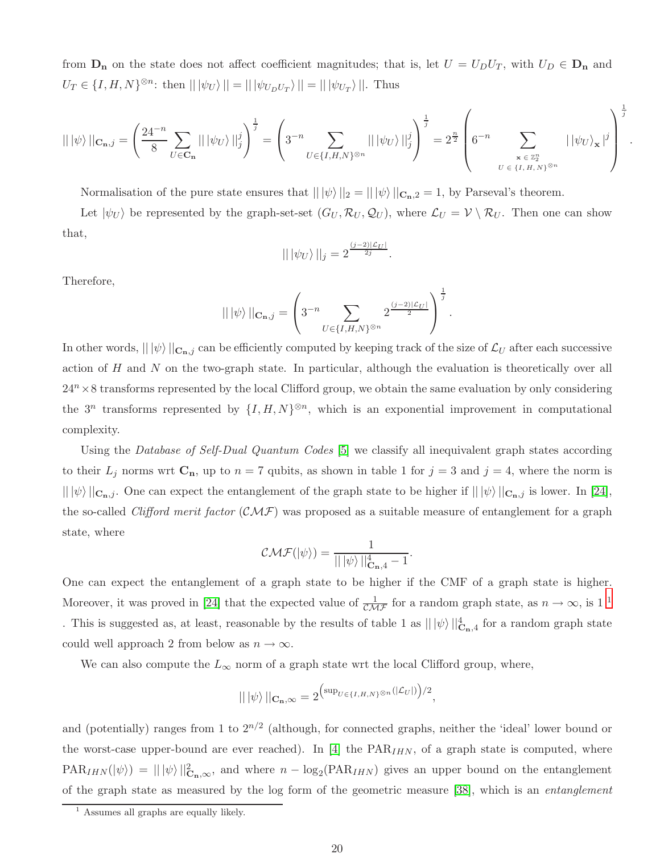from  $D_n$  on the state does not affect coefficient magnitudes; that is, let  $U = U_D U_T$ , with  $U_D \in D_n$  and  $U_T \in \{I, H, N\}^{\otimes n}$ : then  $\| |\psi_U\rangle \| = \| |\psi_{U_D U_T}\rangle \| = \| |\psi_{U_T}\rangle \|$ . Thus

$$
|| \, |\psi \rangle \, ||_{\mathbf{C}_{\mathbf{n}},j} = \left( \frac{24^{-n}}{8} \sum_{U \in \mathbf{C}_{\mathbf{n}}} || \, |\psi_{U} \rangle \, ||_{j}^{j} \right)^{\frac{1}{j}} = \left( 3^{-n} \sum_{U \in \{I,H,N\}^{\otimes n}} || \, |\psi_{U} \rangle \, ||_{j}^{j} \right)^{\frac{1}{j}} = 2^{\frac{n}{2}} \left( 6^{-n} \sum_{\mathbf{x} \in \mathbb{Z}_{2}^{n} \atop U \in \{I,H,N\}^{\otimes n}} || \, |\psi_{U} \rangle_{\mathbf{x}} |^{j} \right)^{\frac{1}{j}}
$$

.

Normalisation of the pure state ensures that  $|| \psi \rangle ||_2 = || \psi \rangle ||_{C_{n},2} = 1$ , by Parseval's theorem.

Let  $|\psi_U\rangle$  be represented by the graph-set-set  $(G_U, \mathcal{R}_U, \mathcal{Q}_U)$ , where  $\mathcal{L}_U = \mathcal{V} \setminus \mathcal{R}_U$ . Then one can show that,

$$
|| \, |\psi_U\rangle \, ||_j = 2^{\frac{(j-2)|\mathcal{L}_U|}{2j}}.
$$

Therefore,

$$
|| \, |\psi\rangle \, ||_{\mathbf{C}_{\mathbf{n}},j} = \left( 3^{-n} \sum_{U \in \{I,H,N\}^{\otimes n}} 2^{\frac{(j-2)|\mathcal{L}_U|}{2}} \right)^{\frac{1}{j}}.
$$

In other words,  $|| \psi \rangle ||_{C_{n,j}}$  can be efficiently computed by keeping track of the size of  $\mathcal{L}_U$  after each successive action of  $H$  and  $N$  on the two-graph state. In particular, although the evaluation is theoretically over all  $24<sup>n</sup> \times 8$  transforms represented by the local Clifford group, we obtain the same evaluation by only considering the  $3^n$  transforms represented by  $\{I, H, N\}^{\otimes n}$ , which is an exponential improvement in computational complexity.

Using the Database of Self-Dual Quantum Codes [\[5\]](#page-26-3) we classify all inequivalent graph states according to their  $L_j$  norms wrt  $\mathbf{C}_n$ , up to  $n = 7$  qubits, as shown in table 1 for  $j = 3$  and  $j = 4$ , where the norm is  $|| \psi \rangle ||_{C_{n,j}}$ . One can expect the entanglement of the graph state to be higher if  $|| \psi \rangle ||_{C_{n,j}}$  is lower. In [\[24\]](#page-28-12), the so-called Clifford merit factor  $(CMF)$  was proposed as a suitable measure of entanglement for a graph state, where

$$
\mathcal{CMF}(|\psi\rangle) = \frac{1}{|| |\psi\rangle||_{\mathbf{C}_{n},4}^{4} - 1}.
$$

One can expect the entanglement of a graph state to be higher if the CMF of a graph state is higher. Moreover, it was proved in [\[24\]](#page-28-12) that the expected value of  $\frac{1}{\mathcal{CMF}}$  $\frac{1}{\mathcal{CMF}}$  $\frac{1}{\mathcal{CMF}}$  for a random graph state, as  $n \to \infty$ , is 1<sup>1</sup> . This is suggested as, at least, reasonable by the results of table 1 as  $\| |\psi\rangle||_{\mathbf{C}_{n},4}^4$  for a random graph state could well approach 2 from below as  $n \to \infty$ .

We can also compute the  $L_{\infty}$  norm of a graph state wrt the local Clifford group, where,

$$
\| |\psi\rangle||_{\mathbf{C}_{\mathbf{n}},\infty} = 2^{\left(\sup_{U \in \{I,H,N\}^{\otimes n}}(|\mathcal{L}_U|)\right)/2},
$$

and (potentially) ranges from 1 to  $2^{n/2}$  (although, for connected graphs, neither the 'ideal' lower bound or the worst-case upper-bound are ever reached). In [\[4\]](#page-26-1) the  $PAR_{IHN}$ , of a graph state is computed, where  $\text{PAR}_{IHN}(\ket{\psi}) = ||\ket{\psi}||^2_{\mathbf{C_n},\infty}$ , and where  $n - \log_2(\text{PAR}_{IHN})$  gives an upper bound on the entanglement of the graph state as measured by the log form of the geometric measure [\[38\]](#page-29-5), which is an entanglement

<span id="page-19-0"></span><sup>&</sup>lt;sup>1</sup> Assumes all graphs are equally likely.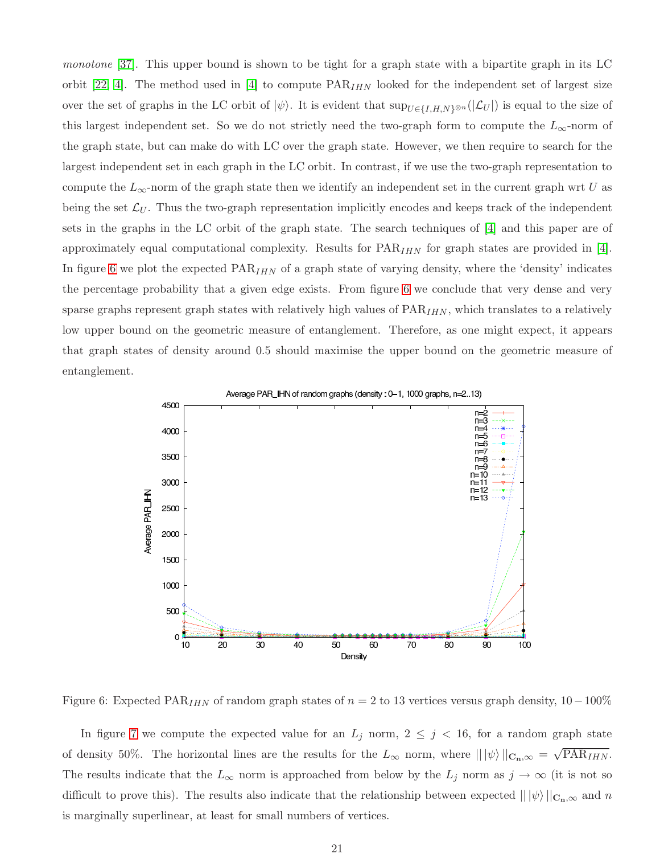monotone [\[37\]](#page-29-6). This upper bound is shown to be tight for a graph state with a bipartite graph in its LC orbit [\[22,](#page-28-3) [4\]](#page-26-1). The method used in [\[4\]](#page-26-1) to compute  $PAR_{IHN}$  looked for the independent set of largest size over the set of graphs in the LC orbit of  $|\psi\rangle$ . It is evident that  $\sup_{U\in\{I,H,N\}\otimes n}(|\mathcal{L}_U|)$  is equal to the size of this largest independent set. So we do not strictly need the two-graph form to compute the  $L_{\infty}$ -norm of the graph state, but can make do with LC over the graph state. However, we then require to search for the largest independent set in each graph in the LC orbit. In contrast, if we use the two-graph representation to compute the  $L_{\infty}$ -norm of the graph state then we identify an independent set in the current graph wrt U as being the set  $\mathcal{L}_U$ . Thus the two-graph representation implicitly encodes and keeps track of the independent sets in the graphs in the LC orbit of the graph state. The search techniques of [\[4\]](#page-26-1) and this paper are of approximately equal computational complexity. Results for  $PAR_{IHN}$  for graph states are provided in [\[4\]](#page-26-1). In figure [6](#page-20-0) we plot the expected  $\text{PAR}_{IHN}$  of a graph state of varying density, where the 'density' indicates the percentage probability that a given edge exists. From figure [6](#page-20-0) we conclude that very dense and very sparse graphs represent graph states with relatively high values of  $PAR_{IHN}$ , which translates to a relatively low upper bound on the geometric measure of entanglement. Therefore, as one might expect, it appears that graph states of density around 0.5 should maximise the upper bound on the geometric measure of entanglement.



<span id="page-20-0"></span>Figure 6: Expected PAR<sub>IHN</sub> of random graph states of  $n = 2$  to 13 vertices versus graph density, 10 – 100%

In figure [7](#page-21-1) we compute the expected value for an  $L_j$  norm,  $2 \leq j \leq 16$ , for a random graph state of density 50%. The horizontal lines are the results for the  $L_{\infty}$  norm, where  $\| |\psi\rangle||_{\mathbf{C}_{\mathbf{n}},\infty} = \sqrt{\text{PAR}_{IHN}}$ . The results indicate that the  $L_{\infty}$  norm is approached from below by the  $L_j$  norm as  $j \to \infty$  (it is not so difficult to prove this). The results also indicate that the relationship between expected  $||\psi\rangle||_{\mathbf{C_n},\infty}$  and n is marginally superlinear, at least for small numbers of vertices.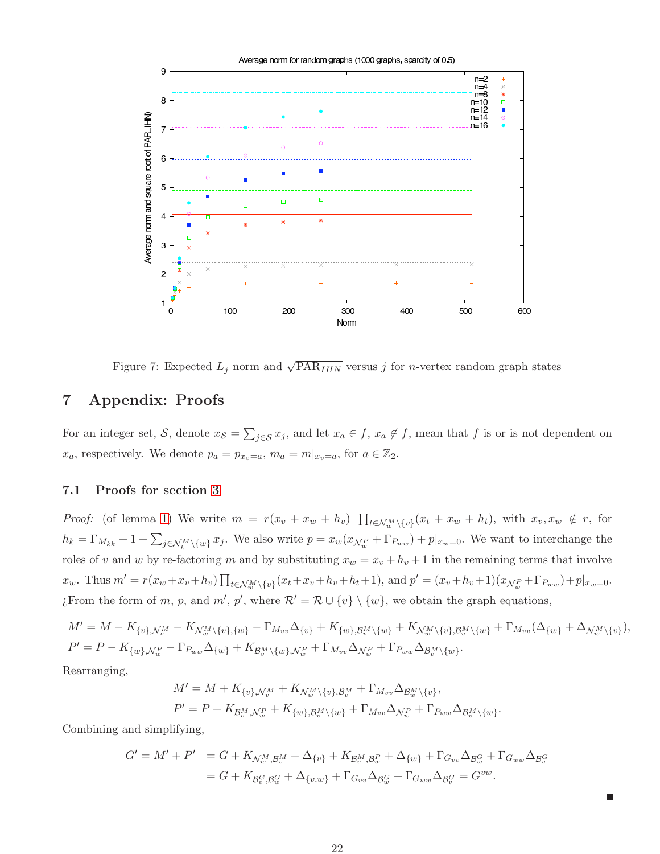

<span id="page-21-1"></span>Figure 7: Expected  $L_j$  norm and  $\sqrt{PAR_{IHN}}$  versus j for *n*-vertex random graph states

# <span id="page-21-0"></span>7 Appendix: Proofs

For an integer set, S, denote  $x_S = \sum_{j \in S} x_j$ , and let  $x_a \in f$ ,  $x_a \notin f$ , mean that f is or is not dependent on  $x_a$ , respectively. We denote  $p_a = p_{x_v=a}, m_a = m|_{x_v=a}$ , for  $a \in \mathbb{Z}_2$ .

### 7.1 Proofs for section [3](#page-9-1)

*Proof:* (of lemma [1\)](#page-10-1) We write  $m = r(x_v + x_w + h_v)$   $\prod_{t \in \mathcal{N}_w^M \setminus \{v\}} (x_t + x_w + h_t)$ , with  $x_v, x_w \notin r$ , for  $h_k = \Gamma_{M_{kk}} + 1 + \sum_{j \in \mathcal{N}_k^M \setminus \{w\}} x_j$ . We also write  $p = x_w(x_{\mathcal{N}_w^P} + \Gamma_{P_{ww}}) + p|_{x_w=0}$ . We want to interchange the roles of v and w by re-factoring m and by substituting  $x_w = x_v + h_v + 1$  in the remaining terms that involve  $x_w$ . Thus  $m' = r(x_w + x_v + h_v) \prod_{t \in \mathcal{N}_w^M \setminus \{v\}} (x_t + x_v + h_v + h_t + 1)$ , and  $p' = (x_v + h_v + 1)(x_{\mathcal{N}_w^P} + \Gamma_{P_{ww}}) + p|_{x_w = 0}$ . ¿From the form of m, p, and  $m'$ , p', where  $\mathcal{R}' = \mathcal{R} \cup \{v\} \setminus \{w\}$ , we obtain the graph equations,

$$
M' = M - K_{\{v\}, \mathcal{N}_v^M} - K_{\mathcal{N}_w^M \setminus \{v\}, \{w\}} - \Gamma_{M_{vv}} \Delta_{\{v\}} + K_{\{w\}, \mathcal{B}_v^M \setminus \{w\}} + K_{\mathcal{N}_w^M \setminus \{v\}, \mathcal{B}_v^M \setminus \{w\}} + \Gamma_{M_{vv}} (\Delta_{\{w\}} + \Delta_{\mathcal{N}_w^M \setminus \{v\}}),
$$
  

$$
P' = P - K_{\{w\}, \mathcal{N}_w^P} - \Gamma_{P_{ww}} \Delta_{\{w\}} + K_{\mathcal{B}_v^M \setminus \{w\}, \mathcal{N}_w^P} + \Gamma_{M_{vv}} \Delta_{\mathcal{N}_w^P} + \Gamma_{P_{ww}} \Delta_{\mathcal{B}_v^M \setminus \{w\}}.
$$

.

 $\blacksquare$ 

Rearranging,

$$
M' = M + K_{\{v\}, \mathcal{N}_v^M} + K_{\mathcal{N}_w^M \setminus \{v\}, \mathcal{B}_v^M} + \Gamma_{M_{vv}} \Delta_{\mathcal{B}_w^M \setminus \{v\}},
$$
  

$$
P' = P + K_{\mathcal{B}_v^M, \mathcal{N}_w^P} + K_{\{w\}, \mathcal{B}_v^M \setminus \{w\}} + \Gamma_{M_{vv}} \Delta_{\mathcal{N}_w^P} + \Gamma_{P_{ww}} \Delta_{\mathcal{B}_v^M \setminus \{w\}}
$$

Combining and simplifying,

$$
G' = M' + P' = G + K_{\mathcal{N}^M_w, \mathcal{B}^M_v} + \Delta_{\{v\}} + K_{\mathcal{B}^M_v, \mathcal{B}^P_w} + \Delta_{\{w\}} + \Gamma_{G_{vv}} \Delta_{\mathcal{B}^G_w} + \Gamma_{G_{ww}} \Delta_{\mathcal{B}^G_v}
$$
  
=  $G + K_{\mathcal{B}^G_v, \mathcal{B}^G_w} + \Delta_{\{v, w\}} + \Gamma_{G_{vv}} \Delta_{\mathcal{B}^G_w} + \Gamma_{G_{ww}} \Delta_{\mathcal{B}^G_v} = G^{vw}.$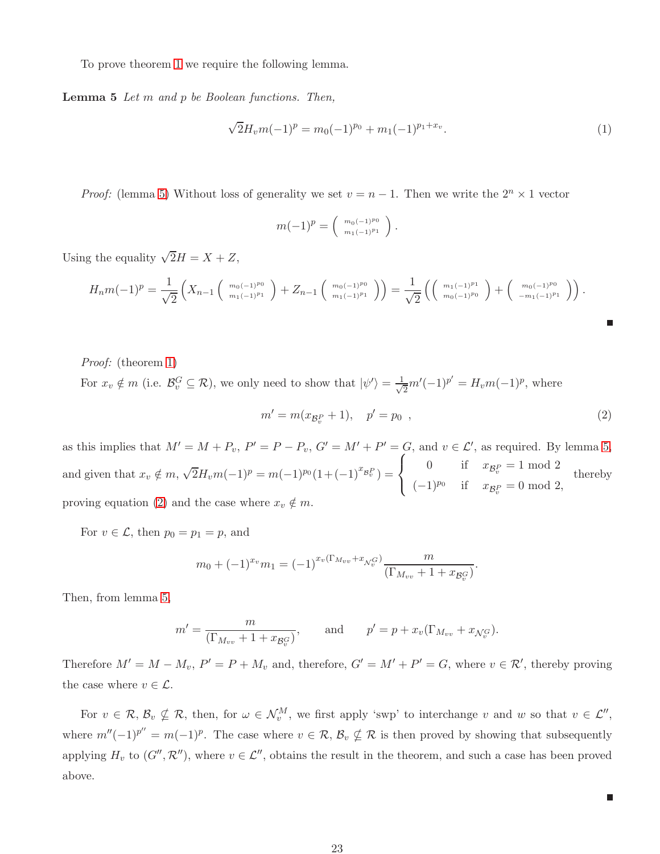To prove theorem [1](#page-10-0) we require the following lemma.

Lemma 5 Let m and p be Boolean functions. Then,

<span id="page-22-0"></span>
$$
\sqrt{2}H_v m(-1)^p = m_0(-1)^{p_0} + m_1(-1)^{p_1+x_v}.
$$
\n(1)

*Proof:* (lemma [5\)](#page-22-0) Without loss of generality we set  $v = n - 1$ . Then we write the  $2^n \times 1$  vector

$$
m(-1)^p = \left(\begin{array}{c}m_0(-1)^{p_0}\\m_1(-1)^{p_1}\end{array}\right).
$$

Using the equality  $\sqrt{2}H = X + Z$ ,

$$
H_n m(-1)^p = \frac{1}{\sqrt{2}} \left( X_{n-1} \left( \begin{array}{c} m_0(-1)^{p_0} \\ m_1(-1)^{p_1} \end{array} \right) + Z_{n-1} \left( \begin{array}{c} m_0(-1)^{p_0} \\ m_1(-1)^{p_1} \end{array} \right) \right) = \frac{1}{\sqrt{2}} \left( \left( \begin{array}{c} m_1(-1)^{p_1} \\ m_0(-1)^{p_0} \end{array} \right) + \left( \begin{array}{c} m_0(-1)^{p_0} \\ -m_1(-1)^{p_1} \end{array} \right) \right).
$$

Proof: (theorem [1\)](#page-10-0) For  $x_v \notin m$  (i.e.  $\mathcal{B}_v^G \subseteq \mathcal{R}$ ), we only need to show that  $|\psi'\rangle = \frac{1}{\sqrt{n}}$  $\frac{1}{2}m'(-1)^{p'} = H_v m(-1)^p$ , where

<span id="page-22-1"></span>
$$
m' = m(x_{\mathcal{B}_v^P} + 1), \quad p' = p_0 \quad , \tag{2}
$$

г

 $\blacksquare$ 

as this implies that  $M' = M + P_v$ ,  $P' = P - P_v$ ,  $G' = M' + P' = G$ , and  $v \in \mathcal{L}'$ , as required. By lemma [5,](#page-22-0) and given that  $x_v \notin m$ ,  $\sqrt{2}H_v m(-1)^p = m(-1)^{p_0} (1 + (-1)^{x_{\mathcal{B}_v^P}}) =$  $\sqrt{ }$  $\left\vert \right\vert$  $\mathcal{L}$ 0 if  $x_{\mathcal{B}_v^P} = 1 \mod 2$  $(-1)^{p_0}$  if  $x_{\mathcal{B}_v^P} = 0 \mod 2$ , thereby proving equation [\(2\)](#page-22-1) and the case where  $x_v \notin m$ .

For  $v \in \mathcal{L}$ , then  $p_0 = p_1 = p$ , and

$$
m_0 + (-1)^{x_v} m_1 = (-1)^{x_v(\Gamma_{M_{vv}} + x_{\mathcal{N}_v^G})} \frac{m}{(\Gamma_{M_{vv}} + 1 + x_{\mathcal{B}_v^G})}.
$$

Then, from lemma [5,](#page-22-0)

$$
m' = \frac{m}{(\Gamma_{M_{vv}} + 1 + x_{\mathcal{B}_v^G})}, \quad \text{and} \quad p' = p + x_v(\Gamma_{M_{vv}} + x_{\mathcal{N}_v^G}).
$$

Therefore  $M' = M - M_v$ ,  $P' = P + M_v$  and, therefore,  $G' = M' + P' = G$ , where  $v \in \mathcal{R}'$ , thereby proving the case where  $v \in \mathcal{L}$ .

For  $v \in \mathcal{R}, \mathcal{B}_v \nsubseteq \mathcal{R}$ , then, for  $\omega \in \mathcal{N}_v^M$ , we first apply 'swp' to interchange v and w so that  $v \in \mathcal{L}''$ , where  $m''(-1)^{p''}=m(-1)^p$ . The case where  $v \in \mathcal{R}, \mathcal{B}_v \nsubseteq \mathcal{R}$  is then proved by showing that subsequently applying  $H_v$  to  $(G'', \mathcal{R}'')$ , where  $v \in \mathcal{L}''$ , obtains the result in the theorem, and such a case has been proved above.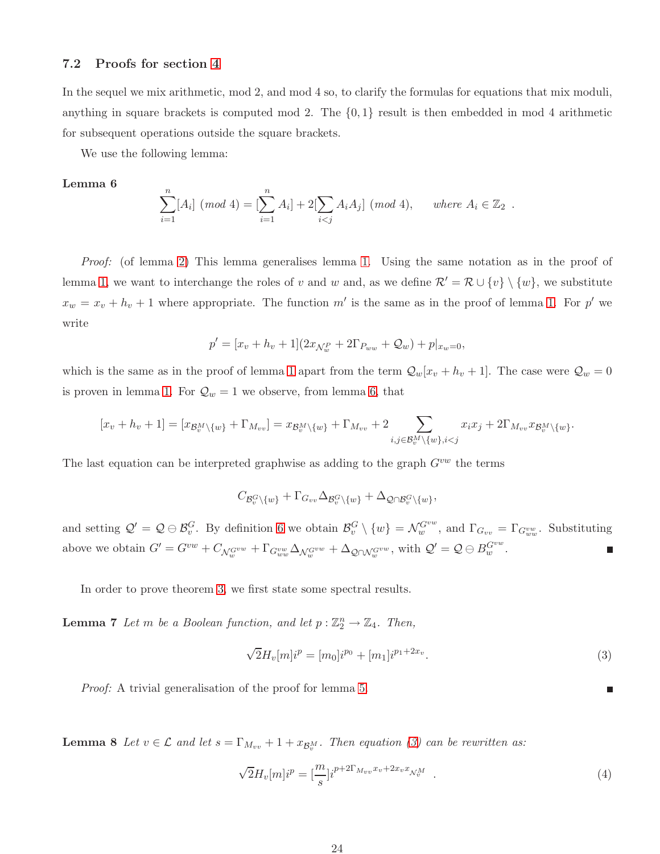### 7.2 Proofs for section [4](#page-12-1)

In the sequel we mix arithmetic, mod 2, and mod 4 so, to clarify the formulas for equations that mix moduli, anything in square brackets is computed mod 2. The  $\{0,1\}$  result is then embedded in mod 4 arithmetic for subsequent operations outside the square brackets.

We use the following lemma:

#### Lemma 6

<span id="page-23-0"></span>
$$
\sum_{i=1}^{n} [A_i] \ (mod \ 4) = [\sum_{i=1}^{n} A_i] + 2[\sum_{i < j} A_i A_j] \ (mod \ 4), \quad \text{where } A_i \in \mathbb{Z}_2 \ .
$$

Proof: (of lemma [2\)](#page-13-2) This lemma generalises lemma [1.](#page-10-1) Using the same notation as in the proof of lemma [1,](#page-10-1) we want to interchange the roles of v and w and, as we define  $\mathcal{R}' = \mathcal{R} \cup \{v\} \setminus \{w\}$ , we substitute  $x_w = x_v + h_v + 1$  where appropriate. The function m' is the same as in the proof of lemma [1.](#page-10-1) For p' we write

$$
p' = [x_v + h_v + 1](2x_{\mathcal{N}_w}^P + 2\Gamma_{P_{ww}} + \mathcal{Q}_w) + p|_{x_w = 0},
$$

which is the same as in the proof of lemma [1](#page-10-1) apart from the term  $\mathcal{Q}_w[x_v + h_v + 1]$ . The case were  $\mathcal{Q}_w = 0$ is proven in lemma [1.](#page-10-1) For  $\mathcal{Q}_w = 1$  we observe, from lemma [6,](#page-23-0) that

$$
[x_v + h_v + 1] = [x_{\mathcal{B}_v^M \setminus \{w\}} + \Gamma_{M_{vv}}] = x_{\mathcal{B}_v^M \setminus \{w\}} + \Gamma_{M_{vv}} + 2 \sum_{i,j \in \mathcal{B}_v^M \setminus \{w\}, i < j} x_i x_j + 2\Gamma_{M_{vv}} x_{\mathcal{B}_v^M \setminus \{w\}}.
$$

The last equation can be interpreted graphwise as adding to the graph  $G^{vw}$  the terms

$$
C_{\mathcal{B}_v^G\setminus\{w\}}+\Gamma_{G_{vv}}\Delta_{\mathcal{B}_v^G\setminus\{w\}}+\Delta_{\mathcal{Q}\cap\mathcal{B}_v^G\setminus\{w\}},
$$

and setting  $\mathcal{Q}' = \mathcal{Q} \oplus \mathcal{B}_{v}^G$ . By definition [6](#page-8-2) we obtain  $\mathcal{B}_{v}^G \setminus \{w\} = \mathcal{N}_{w}^{G^{vw}}$ , and  $\Gamma_{G_{vv}} = \Gamma_{G_{ww}^{vw}}$ . Substituting above we obtain  $G' = G^{vw} + C_{\mathcal{N}_{w}^{G^{vw}}} + \Gamma_{G_{ww}^{vw}} \Delta_{\mathcal{N}_{w}^{G^{vw}}} + \Delta_{\mathcal{Q} \cap \mathcal{N}_{w}^{G^{vw}}}$ , with  $\mathcal{Q}' = \mathcal{Q} \ominus B_{w}^{G^{vw}}$ .

In order to prove theorem [3,](#page-14-0) we first state some spectral results.

**Lemma 7** Let m be a Boolean function, and let  $p : \mathbb{Z}_2^n \to \mathbb{Z}_4$ . Then,

<span id="page-23-1"></span>
$$
\sqrt{2}H_v[m]i^p = [m_0]i^{p_0} + [m_1]i^{p_1+2x_v}.
$$
\n(3)

Proof: A trivial generalisation of the proof for lemma [5.](#page-22-0)

**Lemma 8** Let  $v \in \mathcal{L}$  and let  $s = \Gamma_{M_{vv}} + 1 + x_{\mathcal{B}_v^M}$ . Then equation [\(3\)](#page-23-1) can be rewritten as:

<span id="page-23-2"></span>
$$
\sqrt{2}H_v[m]i^p = \left[\frac{m}{s}\right]i^{p+2\Gamma_{M_{vv}}x_v+2x_vx_{\mathcal{N}_v^M}}\tag{4}
$$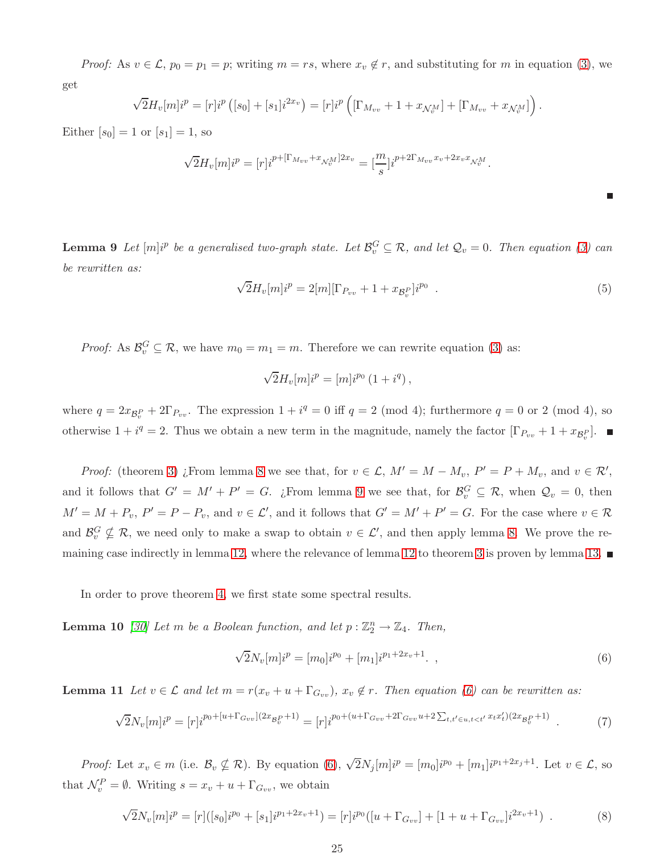*Proof:* As  $v \in \mathcal{L}$ ,  $p_0 = p_1 = p$ ; writing  $m = rs$ , where  $x_v \notin r$ , and substituting for m in equation [\(3\)](#page-23-1), we get

$$
\sqrt{2}H_v[m]i^p = [r]i^p([s_0] + [s_1]i^{2x_v}) = [r]i^p([ \Gamma_{M_{vv}} + 1 + x_{\mathcal{N}_v^M} ] + [ \Gamma_{M_{vv}} + x_{\mathcal{N}_v^M} ]).
$$

Either  $[s_0] = 1$  or  $[s_1] = 1$ , so

$$
\sqrt{2}H_v[m]i^p = [r]i^{p + [\Gamma_{M_{vv}} + x_{\mathcal{N}_v^M}]2x_v} = [\frac{m}{s}]i^{p + 2\Gamma_{M_{vv}}x_v + 2x_v x_{\mathcal{N}_v^M}}.
$$

**Lemma 9** Let  $[m]$ <sup>ip</sup> be a generalised two-graph state. Let  $\mathcal{B}_v^G \subseteq \mathcal{R}$ , and let  $\mathcal{Q}_v = 0$ . Then equation [\(3\)](#page-23-1) can be rewritten as:

<span id="page-24-0"></span>
$$
\sqrt{2}H_v[m]i^p = 2[m][\Gamma_{P_{vv}} + 1 + x_{\mathcal{B}_v^P}]i^{p_0} . \tag{5}
$$

*Proof:* As  $\mathcal{B}_{v}^{G} \subseteq \mathcal{R}$ , we have  $m_0 = m_1 = m$ . Therefore we can rewrite equation [\(3\)](#page-23-1) as:

$$
\sqrt{2}H_v[m]i^p = [m]i^{p_0} (1 + i^q),
$$

where  $q = 2x_{\mathcal{B}_v^P} + 2\Gamma_{P_{vv}}$ . The expression  $1 + i^q = 0$  iff  $q = 2 \pmod{4}$ ; furthermore  $q = 0$  or 2 (mod 4), so otherwise  $1 + i^q = 2$ . Thus we obtain a new term in the magnitude, namely the factor  $[\Gamma_{P_{vv}} + 1 + x_{\mathcal{B}_v^P}]$ .

*Proof:* (theorem [3\)](#page-14-0) *i*, From lemma [8](#page-23-2) we see that, for  $v \in \mathcal{L}$ ,  $M' = M - M_v$ ,  $P' = P + M_v$ , and  $v \in \mathcal{R}'$ , and it follows that  $G' = M' + P' = G$ . ¿From lemma [9](#page-24-0) we see that, for  $\mathcal{B}_v^G \subseteq \mathcal{R}$ , when  $\mathcal{Q}_v = 0$ , then  $M' = M + P_v$ ,  $P' = P - P_v$ , and  $v \in \mathcal{L}'$ , and it follows that  $G' = M' + P' = G$ . For the case where  $v \in \mathcal{R}$ and  $\mathcal{B}_{v}^{G} \nsubseteq \mathcal{R}$ , we need only to make a swap to obtain  $v \in \mathcal{L}'$ , and then apply lemma [8.](#page-23-2) We prove the remaining case indirectly in lemma [12,](#page-25-0) where the relevance of lemma [12](#page-25-0) to theorem [3](#page-14-0) is proven by lemma [13.](#page-25-1)

In order to prove theorem [4,](#page-15-1) we first state some spectral results.

**Lemma 10** [\[30\]](#page-28-2) Let m be a Boolean function, and let  $p : \mathbb{Z}_2^n \to \mathbb{Z}_4$ . Then,

<span id="page-24-1"></span>
$$
\sqrt{2}N_v[m]i^p = [m_0]i^{p_0} + [m_1]i^{p_1+2x_v+1}.
$$
\n(6)

**Lemma 11** Let  $v \in \mathcal{L}$  and let  $m = r(x_v + u + \Gamma_{G_{vv}})$ ,  $x_v \notin r$ . Then equation [\(6\)](#page-24-1) can be rewritten as:

<span id="page-24-2"></span>
$$
\sqrt{2}N_v[m]i^p = [r]i^{p_0+[u+\Gamma_{G_{vv}}](2x_{\mathcal{B}_v^P}+1)} = [r]i^{p_0+(u+\Gamma_{G_{vv}}+2\Gamma_{G_{vv}}u+2\sum_{t,t'\in u,t(7)
$$

Proof: Let  $x_v \in m$  (i.e.  $\mathcal{B}_v \nsubseteq \mathcal{R}$ ). By equation [\(6\)](#page-24-1),  $\sqrt{2}N_j[m]i^p = [m_0]i^{p_0} + [m_1]i^{p_1+2x_j+1}$ . Let  $v \in \mathcal{L}$ , so that  $\mathcal{N}_v^P = \emptyset$ . Writing  $s = x_v + u + \Gamma_{G_{vv}}$ , we obtain

$$
\sqrt{2}N_v[m]i^p = [r]([s_0]i^{p_0} + [s_1]i^{p_1+2x_v+1}) = [r]i^{p_0}([u+\Gamma_{G_{vv}}] + [1+u+\Gamma_{G_{vv}}]i^{2x_v+1})
$$
\n(8)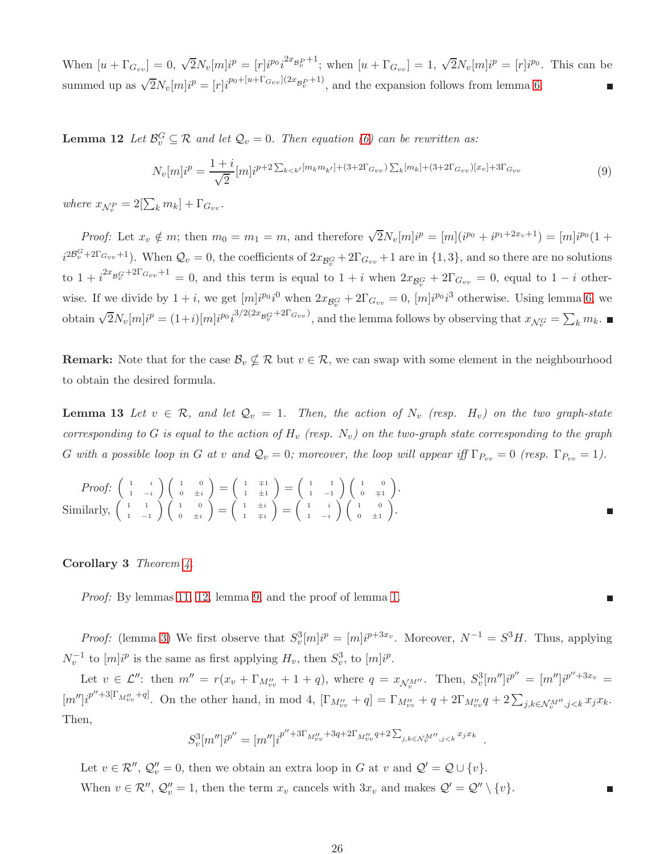When  $[u + \Gamma_{G_{vv}}] = 0$ ,  $\sqrt{2}N_v[m]i^p = [r]i^{p_0}i^{2x_{\mathcal{B}_v^{P}}+1}$ ; when  $[u + \Gamma_{G_{vv}}] = 1$ ,  $\sqrt{2}N_v[m]i^p = [r]i^{p_0}$ . This can be summed up as  $\sqrt{2}N_v[m]i^p = [r]i^{p_0+[u+\Gamma_{G_{vv}}](2x_{\mathcal{B}_v^P}+1)}$ , and the expansion follows from lemma [6.](#page-23-0)

**Lemma 12** Let  $\mathcal{B}_v^G \subseteq \mathcal{R}$  and let  $\mathcal{Q}_v = 0$ . Then equation [\(6\)](#page-24-1) can be rewritten as:

<span id="page-25-0"></span>
$$
N_v[m]i^p = \frac{1+i}{\sqrt{2}} [m]i^{p+2} \sum_{k < k'} [m_k m_{k'}] + (3+2\Gamma_{G_{vv}}) \sum_{k} [m_k] + (3+2\Gamma_{G_{vv}}) [x_v] + 3\Gamma_{G_{vv}} \tag{9}
$$

where  $x_{\mathcal{N}_v^P} = 2[\sum_k m_k] + \Gamma_{G_{vv}}$ .

*Proof:* Let  $x_v \notin m$ ; then  $m_0 = m_1 = m$ , and therefore  $\sqrt{2}N_v[m]i^p = [m](i^{p_0} + i^{p_1+2x_v+1}) = [m]i^{p_0}(1 +$  $i^{2\mathcal{B}_v^G+2\Gamma_{Gvv}+1}$ ). When  $\mathcal{Q}_v=0$ , the coefficients of  $2x_{\mathcal{B}_v^G}+2\Gamma_{Gvv}+1$  are in  $\{1,3\}$ , and so there are no solutions to  $1 + i^{2x} B_v^{G+2\Gamma_{G_{vv}}+1} = 0$ , and this term is equal to  $1 + i$  when  $2x_{\mathcal{B}_v}^{G} + 2\Gamma_{G_{vv}} = 0$ , equal to  $1 - i$  otherwise. If we divide by  $1+i$ , we get  $[m]i^{p_0}i^0$  when  $2x_{\mathcal{B}_v^G} + 2\Gamma_{G_{vv}} = 0$ ,  $[m]i^{p_0}i^3$  otherwise. Using lemma [6,](#page-23-0) we obtain  $\sqrt{2}N_v[m]i^p = (1+i)[m]i^{p_0}i^{3/2(2x_{\mathcal{B}_v^G}+2\Gamma_{G_{vv}})}$ , and the lemma follows by observing that  $x_{\mathcal{N}_v^G} = \sum_k m_k$ .

<span id="page-25-1"></span>**Remark:** Note that for the case  $\mathcal{B}_v \nsubseteq \mathcal{R}$  but  $v \in \mathcal{R}$ , we can swap with some element in the neighbourhood to obtain the desired formula.

**Lemma 13** Let  $v \in \mathcal{R}$ , and let  $\mathcal{Q}_v = 1$ . Then, the action of  $N_v$  (resp.  $H_v$ ) on the two graph-state corresponding to G is equal to the action of  $H_v$  (resp.  $N_v$ ) on the two-graph state corresponding to the graph G with a possible loop in G at v and  $\mathcal{Q}_v = 0$ ; moreover, the loop will appear iff  $\Gamma_{P_{vv}} = 0$  (resp.  $\Gamma_{P_{vv}} = 1$ ).

Proof: 
$$
\begin{pmatrix} 1 & i \\ 1 & -i \end{pmatrix} \begin{pmatrix} 1 & 0 \\ 0 & \pm i \end{pmatrix} = \begin{pmatrix} 1 & \mp 1 \\ 1 & \pm 1 \end{pmatrix} = \begin{pmatrix} 1 & 1 \\ 1 & -1 \end{pmatrix} \begin{pmatrix} 1 & 0 \\ 0 & \mp 1 \end{pmatrix}.
$$
  
Similarly, 
$$
\begin{pmatrix} 1 & 1 \\ 1 & -1 \end{pmatrix} \begin{pmatrix} 1 & 0 \\ 0 & \pm i \end{pmatrix} = \begin{pmatrix} 1 & \pm i \\ 1 & \mp i \end{pmatrix} = \begin{pmatrix} 1 & i \\ 1 & -i \end{pmatrix} \begin{pmatrix} 1 & 0 \\ 0 & \pm 1 \end{pmatrix}.
$$

Corollary 3 Theorem [4.](#page-15-1)

Proof: By lemmas [11,](#page-24-2) [12,](#page-25-0) lemma [9,](#page-24-0) and the proof of lemma [1.](#page-10-1)

*Proof:* (lemma [3\)](#page-16-0) We first observe that  $S_v^3[m]i^p = [m]i^{p+3x_v}$ . Moreover,  $N^{-1} = S^3H$ . Thus, applying  $N_v^{-1}$  to  $[m]i^p$  is the same as first applying  $H_v$ , then  $S_v^3$ , to  $[m]i^p$ .

Let  $v \in \mathcal{L}''$ : then  $m'' = r(x_v + \Gamma_{M''_{vv}} + 1 + q)$ , where  $q = x_{\mathcal{N}_v^{M''}}$ . Then,  $S_v^3[m'']i^{p''} = [m'']i^{p''+3x_v}$  $[m'']i^{p''+3[\Gamma_{M''_{vv}}+q]}$ . On the other hand, in mod 4,  $[\Gamma_{M''_{vv}}+q] = \Gamma_{M''_{vv}}+q+2\Gamma_{M''_{vv}}q+2\sum_{j,k\in\mathcal{N}^{M''}_{v},j\leq k}x_jx_k$ . Then,

$$
S_v^3[m'']i^{p''} = [m'']i^{p''+3\Gamma_{M_{vv}''}+3q+2\Gamma_{M_{vv}''}q+2\sum_{j,k\in\mathcal{N}_v^{M''},j
$$

Let  $v \in \mathcal{R}''$ ,  $\mathcal{Q}''_v = 0$ , then we obtain an extra loop in G at v and  $\mathcal{Q}' = \mathcal{Q} \cup \{v\}$ . When  $v \in \mathcal{R}''$ ,  $\mathcal{Q}''_v = 1$ , then the term  $x_v$  cancels with  $3x_v$  and makes  $\mathcal{Q}' = \mathcal{Q}'' \setminus \{v\}$ .

г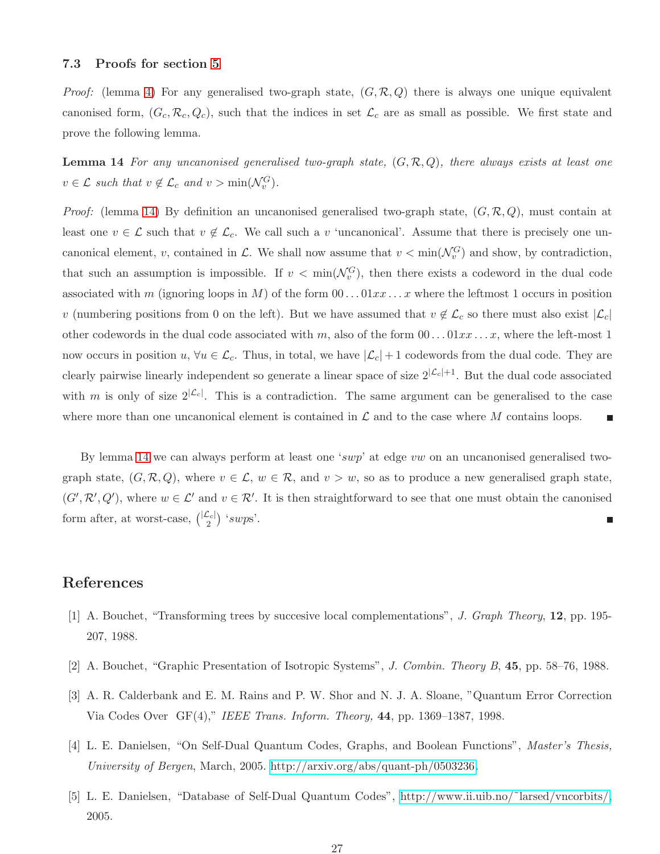### 7.3 Proofs for section [5](#page-17-3)

<span id="page-26-5"></span>*Proof:* (lemma [4\)](#page-18-1) For any generalised two-graph state,  $(G, \mathcal{R}, Q)$  there is always one unique equivalent canonised form,  $(G_c, \mathcal{R}_c, Q_c)$ , such that the indices in set  $\mathcal{L}_c$  are as small as possible. We first state and prove the following lemma.

**Lemma 14** For any uncanonised generalised two-graph state,  $(G, \mathcal{R}, Q)$ , there always exists at least one  $v \in \mathcal{L}$  such that  $v \notin \mathcal{L}_c$  and  $v > \min(\mathcal{N}_v^G)$ .

*Proof:* (lemma [14\)](#page-26-5) By definition an uncanonised generalised two-graph state,  $(G, \mathcal{R}, Q)$ , must contain at least one  $v \in \mathcal{L}$  such that  $v \notin \mathcal{L}_c$ . We call such a v 'uncanonical'. Assume that there is precisely one uncanonical element, v, contained in L. We shall now assume that  $v < \min(\mathcal{N}_v^G)$  and show, by contradiction, that such an assumption is impossible. If  $v < \min(\mathcal{N}_v^G)$ , then there exists a codeword in the dual code associated with m (ignoring loops in M) of the form  $00...01xx...x$  where the leftmost 1 occurs in position v (numbering positions from 0 on the left). But we have assumed that  $v \notin \mathcal{L}_c$  so there must also exist  $|\mathcal{L}_c|$ other codewords in the dual code associated with m, also of the form  $00...01xx...x$ , where the left-most 1 now occurs in position  $u, \forall u \in \mathcal{L}_c$ . Thus, in total, we have  $|\mathcal{L}_c| + 1$  codewords from the dual code. They are clearly pairwise linearly independent so generate a linear space of size  $2^{\vert \mathcal{L}_c\vert +1}$ . But the dual code associated with m is only of size  $2^{\vert \mathcal{L}_c \vert}$ . This is a contradiction. The same argument can be generalised to the case where more than one uncanonical element is contained in  $\mathcal L$  and to the case where M contains loops.

By lemma [14](#page-26-5) we can always perform at least one 'swp' at edge vw on an uncanonised generalised twograph state,  $(G, \mathcal{R}, Q)$ , where  $v \in \mathcal{L}$ ,  $w \in \mathcal{R}$ , and  $v > w$ , so as to produce a new generalised graph state,  $(G', \mathcal{R}', Q')$ , where  $w \in \mathcal{L}'$  and  $v \in \mathcal{R}'$ . It is then straightforward to see that one must obtain the canonised form after, at worst-case,  $\binom{|L_c|}{2}$  'swps'. Ξ

## <span id="page-26-2"></span>References

- <span id="page-26-4"></span>[1] A. Bouchet, "Transforming trees by succesive local complementations", J. Graph Theory, 12, pp. 195- 207, 1988.
- <span id="page-26-0"></span>[2] A. Bouchet, "Graphic Presentation of Isotropic Systems", J. Combin. Theory B, 45, pp. 58–76, 1988.
- <span id="page-26-1"></span>[3] A. R. Calderbank and E. M. Rains and P. W. Shor and N. J. A. Sloane, "Quantum Error Correction Via Codes Over  $GF(4)$ ," IEEE Trans. Inform. Theory,  $44$ , pp. 1369–1387, 1998.
- <span id="page-26-3"></span>[4] L. E. Danielsen, "On Self-Dual Quantum Codes, Graphs, and Boolean Functions", Master's Thesis, University of Bergen, March, 2005. [http://arxiv.org/abs/quant-ph/0503236.](http://arxiv.org/abs/quant-ph/0503236)
- [5] L. E. Danielsen, "Database of Self-Dual Quantum Codes", [http://www.ii.uib.no/˜larsed/vncorbits/,](http://www.ii.uib.no/~larsed/vncorbits/) 2005.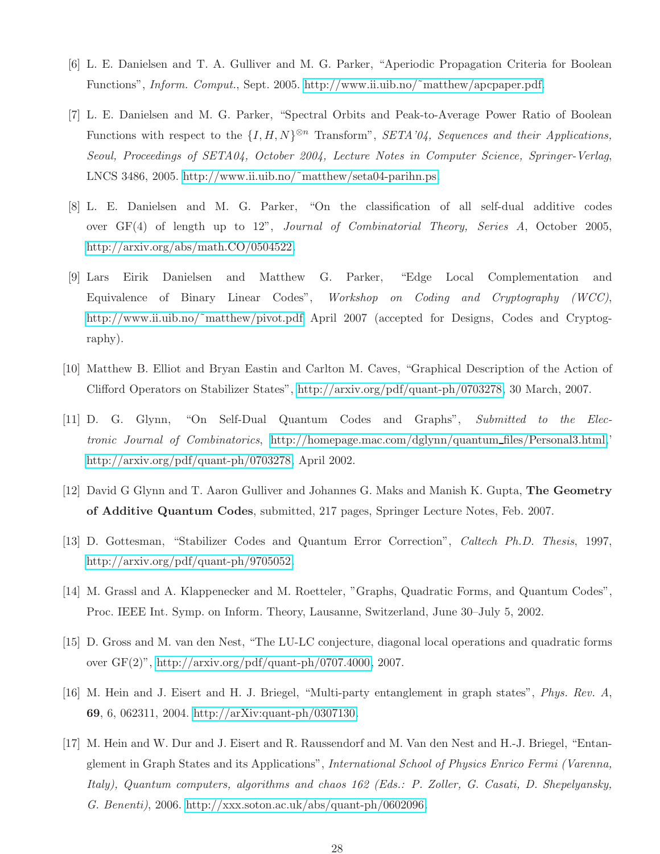- <span id="page-27-10"></span><span id="page-27-3"></span>[6] L. E. Danielsen and T. A. Gulliver and M. G. Parker, "Aperiodic Propagation Criteria for Boolean Functions", Inform. Comput., Sept. 2005. [http://www.ii.uib.no/˜matthew/apcpaper.pdf.](http://www.ii.uib.no/~matthew/apcpaper.pdf)
- [7] L. E. Danielsen and M. G. Parker, "Spectral Orbits and Peak-to-Average Power Ratio of Boolean Functions with respect to the  $\{I, H, N\}^{\otimes n}$  Transform", SETA'04, Sequences and their Applications, Seoul, Proceedings of SETA04, October 2004, Lecture Notes in Computer Science, Springer-Verlag, LNCS 3486, 2005. [http://www.ii.uib.no/˜matthew/seta04-parihn.ps.](http://www.ii.uib.no/~matthew/seta04-parihn.pdf)
- <span id="page-27-4"></span>[8] L. E. Danielsen and M. G. Parker, "On the classification of all self-dual additive codes over GF(4) of length up to 12", Journal of Combinatorial Theory, Series A, October 2005, [http://arxiv.org/abs/math.CO/0504522.](http://arxiv.org/abs/math.CO/0504522)
- <span id="page-27-1"></span>[9] Lars Eirik Danielsen and Matthew G. Parker, "Edge Local Complementation and Equivalence of Binary Linear Codes", Workshop on Coding and Cryptography (WCC), http://www.ii.uib.no/~matthew/pivot.pdf April 2007 (accepted for Designs, Codes and Cryptography).
- <span id="page-27-9"></span><span id="page-27-5"></span>[10] Matthew B. Elliot and Bryan Eastin and Carlton M. Caves, "Graphical Description of the Action of Clifford Operators on Stabilizer States", [http://arxiv.org/pdf/quant-ph/0703278,](http://arxiv.org/pdf/quant-ph/0703278) 30 March, 2007.
- [11] D. G. Glynn, "On Self-Dual Quantum Codes and Graphs", Submitted to the Electronic Journal of Combinatorics, [http://homepage.mac.com/dglynn/quantum](http://homepage.mac.com/dglynn/quantum_files/Personal3.html) files/Personal3.html,' [http://arxiv.org/pdf/quant-ph/0703278,](http://arxiv.org/pdf/quant-ph/0703278) April 2002.
- <span id="page-27-7"></span><span id="page-27-0"></span>[12] David G Glynn and T. Aaron Gulliver and Johannes G. Maks and Manish K. Gupta, The Geometry of Additive Quantum Codes, submitted, 217 pages, Springer Lecture Notes, Feb. 2007.
- <span id="page-27-11"></span>[13] D. Gottesman, "Stabilizer Codes and Quantum Error Correction", Caltech Ph.D. Thesis, 1997, [http://arxiv.org/pdf/quant-ph/9705052.](http://arxiv.org/pdf/quant-ph/9705052)
- <span id="page-27-8"></span>[14] M. Grassl and A. Klappenecker and M. Roetteler, "Graphs, Quadratic Forms, and Quantum Codes", Proc. IEEE Int. Symp. on Inform. Theory, Lausanne, Switzerland, June 30–July 5, 2002.
- <span id="page-27-6"></span>[15] D. Gross and M. van den Nest, "The LU-LC conjecture, diagonal local operations and quadratic forms over GF(2)", [http://arxiv.org/pdf/quant-ph/0707.4000,](http://arxiv.org/pdf/quant-ph/0707.4000) 2007.
- <span id="page-27-2"></span>[16] M. Hein and J. Eisert and H. J. Briegel, "Multi-party entanglement in graph states", Phys. Rev. A, 69, 6, 062311, 2004. [http://arXiv:quant-ph/0307130.](http://arXiv:quant-ph/0307130)
- [17] M. Hein and W. Dur and J. Eisert and R. Raussendorf and M. Van den Nest and H.-J. Briegel, "Entanglement in Graph States and its Applications", International School of Physics Enrico Fermi (Varenna, Italy), Quantum computers, algorithms and chaos 162 (Eds.: P. Zoller, G. Casati, D. Shepelyansky, G. Benenti), 2006. [http://xxx.soton.ac.uk/abs/quant-ph/0602096.](http://xxx.soton.ac.uk/abs/quant-ph/0602096)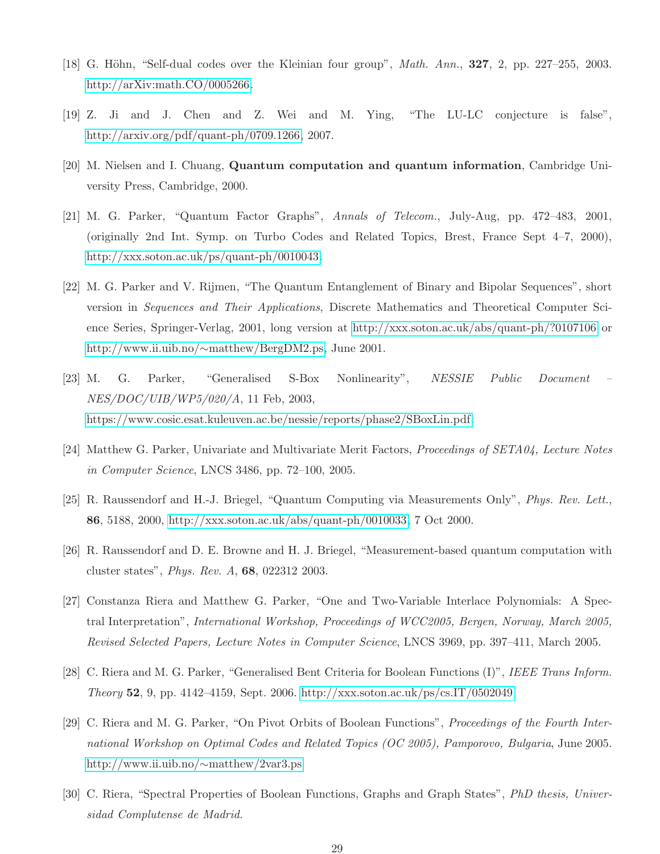- <span id="page-28-9"></span><span id="page-28-8"></span>[18] G. Höhn, "Self-dual codes over the Kleinian four group", *Math. Ann.*, **327**, 2, pp. 227–255, 2003. [http://arXiv:math.CO/0005266.](http://arXiv:math.CO/0005266)
- <span id="page-28-0"></span>[19] Z. Ji and J. Chen and Z. Wei and M. Ying, "The LU-LC conjecture is false", [http://arxiv.org/pdf/quant-ph/0709.1266,](http://arxiv.org/pdf/quant-ph/0709.1266) 2007.
- <span id="page-28-10"></span>[20] M. Nielsen and I. Chuang, Quantum computation and quantum information, Cambridge University Press, Cambridge, 2000.
- [21] M. G. Parker, "Quantum Factor Graphs", Annals of Telecom., July-Aug, pp. 472–483, 2001, (originally 2nd Int. Symp. on Turbo Codes and Related Topics, Brest, France Sept 4–7, 2000), [http://xxx.soton.ac.uk/ps/quant-ph/0010043.](http://xxx.soton.ac.uk/ps/quant-ph/0010043)
- <span id="page-28-3"></span>[22] M. G. Parker and V. Rijmen, "The Quantum Entanglement of Binary and Bipolar Sequences", short version in Sequences and Their Applications, Discrete Mathematics and Theoretical Computer Science Series, Springer-Verlag, 2001, long version at<http://xxx.soton.ac.uk/abs/quant-ph/?0107106> or http://www.ii.uib.no/∼[matthew/BergDM2.ps,](http://www.ii.uib.no/~matthew/BergDM2.ps) June 2001.
- <span id="page-28-11"></span>[23] M. G. Parker, "Generalised S-Box Nonlinearity", NESSIE Public Document NES/DOC/UIB/WP5/020/A, 11 Feb, 2003, [https://www.cosic.esat.kuleuven.ac.be/nessie/reports/phase2/SBoxLin.pdf.](https://www.cosic.esat.kuleuven.be/nessie/reports/phase2/SBoxLin.pdf)
- <span id="page-28-12"></span><span id="page-28-4"></span>[24] Matthew G. Parker, Univariate and Multivariate Merit Factors, Proceedings of SETA04, Lecture Notes in Computer Science, LNCS 3486, pp. 72–100, 2005.
- <span id="page-28-7"></span>[25] R. Raussendorf and H.-J. Briegel, "Quantum Computing via Measurements Only", Phys. Rev. Lett., 86, 5188, 2000, [http://xxx.soton.ac.uk/abs/quant-ph/0010033,](http://xxx.soton.ac.uk/abs/quant-ph/0010033) 7 Oct 2000.
- <span id="page-28-5"></span>[26] R. Raussendorf and D. E. Browne and H. J. Briegel, "Measurement-based quantum computation with cluster states", Phys. Rev. A, 68, 022312 2003.
- [27] Constanza Riera and Matthew G. Parker, "One and Two-Variable Interlace Polynomials: A Spectral Interpretation", International Workshop, Proceedings of WCC2005, Bergen, Norway, March 2005, Revised Selected Papers, Lecture Notes in Computer Science, LNCS 3969, pp. 397–411, March 2005.
- <span id="page-28-6"></span><span id="page-28-1"></span>[28] C. Riera and M. G. Parker, "Generalised Bent Criteria for Boolean Functions (I)", IEEE Trans Inform. Theory 52, 9, pp. 4142–4159, Sept. 2006.<http://xxx.soton.ac.uk/ps/cs.IT/0502049>
- [29] C. Riera and M. G. Parker, "On Pivot Orbits of Boolean Functions", Proceedings of the Fourth International Workshop on Optimal Codes and Related Topics (OC 2005), Pamporovo, Bulgaria, June 2005. [http://www.ii.uib.no/](http://www.ii.uib.no/~matthew/2var3.ps)∼matthew/2var3.ps
- <span id="page-28-2"></span>[30] C. Riera, "Spectral Properties of Boolean Functions, Graphs and Graph States", PhD thesis, Universidad Complutense de Madrid.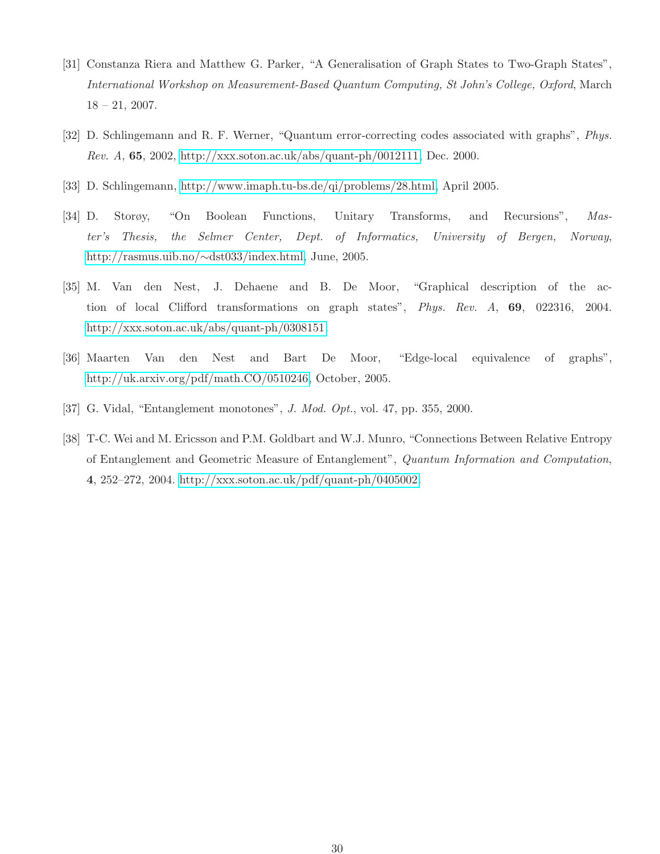- <span id="page-29-4"></span>[31] Constanza Riera and Matthew G. Parker, "A Generalisation of Graph States to Two-Graph States", International Workshop on Measurement-Based Quantum Computing, St John's College, Oxford, March  $18 - 21, 2007.$
- <span id="page-29-3"></span><span id="page-29-0"></span>[32] D. Schlingemann and R. F. Werner, "Quantum error-correcting codes associated with graphs", Phys. Rev. A, 65, 2002, [http://xxx.soton.ac.uk/abs/quant-ph/0012111,](http://xxx.soton.ac.uk/abs/quant-ph/0012111) Dec. 2000.
- [33] D. Schlingemann, [http://www.imaph.tu-bs.de/qi/problems/28.html,](http://www.imaph.tu-bs.de/qi/problems/28.html) April 2005.
- [34] D. Storøy, "On Boolean Functions, Unitary Transforms, and Recursions", Master's Thesis, the Selmer Center, Dept. of Informatics, University of Bergen, Norway, [http://rasmus.uib.no/](http://rasmus.uib.no/~dst033/index.html)∼dst033/index.html, June, 2005.
- <span id="page-29-1"></span>[35] M. Van den Nest, J. Dehaene and B. De Moor, "Graphical description of the action of local Clifford transformations on graph states", Phys. Rev. A, 69, 022316, 2004. [http://xxx.soton.ac.uk/abs/quant-ph/0308151.](http://xxx.soton.ac.uk/abs/quant-ph/0308151)
- <span id="page-29-6"></span><span id="page-29-2"></span>[36] Maarten Van den Nest and Bart De Moor, "Edge-local equivalence of graphs", [http://uk.arxiv.org/pdf/math.CO/0510246,](http://uk.arxiv.org/pdf/math.CO/0510246) October, 2005.
- <span id="page-29-5"></span>[37] G. Vidal, "Entanglement monotones", J. Mod. Opt., vol. 47, pp. 355, 2000.
- [38] T-C. Wei and M. Ericsson and P.M. Goldbart and W.J. Munro, "Connections Between Relative Entropy of Entanglement and Geometric Measure of Entanglement", Quantum Information and Computation, 4, 252–272, 2004. [http://xxx.soton.ac.uk/pdf/quant-ph/0405002.](http://xxx.soton.ac.uk/pdf/quant-ph/0405002)